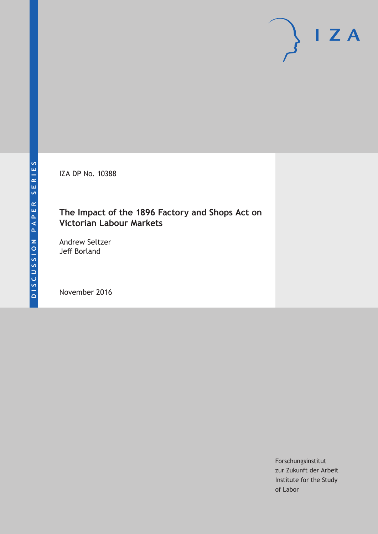IZA DP No. 10388

# **The Impact of the 1896 Factory and Shops Act on Victorian Labour Markets**

Andrew Seltzer Jeff Borland

November 2016

Forschungsinstitut zur Zukunft der Arbeit Institute for the Study of Labor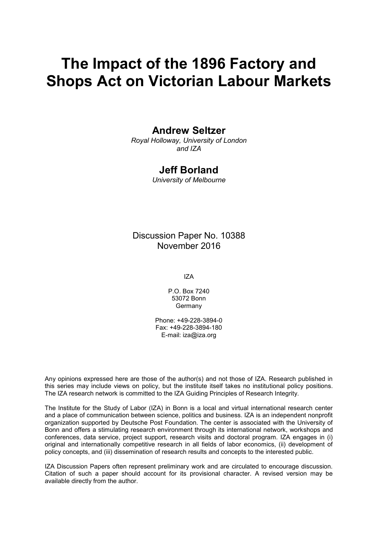# **The Impact of the 1896 Factory and Shops Act on Victorian Labour Markets**

## **Andrew Seltzer**

*Royal Holloway, University of London and IZA*

## **Jeff Borland**

*University of Melbourne*

Discussion Paper No. 10388 November 2016

IZA

P.O. Box 7240 53072 Bonn Germany

Phone: +49-228-3894-0 Fax: +49-228-3894-180 E-mail: iza@iza.org

Any opinions expressed here are those of the author(s) and not those of IZA. Research published in this series may include views on policy, but the institute itself takes no institutional policy positions. The IZA research network is committed to the IZA Guiding Principles of Research Integrity.

The Institute for the Study of Labor (IZA) in Bonn is a local and virtual international research center and a place of communication between science, politics and business. IZA is an independent nonprofit organization supported by Deutsche Post Foundation. The center is associated with the University of Bonn and offers a stimulating research environment through its international network, workshops and conferences, data service, project support, research visits and doctoral program. IZA engages in (i) original and internationally competitive research in all fields of labor economics, (ii) development of policy concepts, and (iii) dissemination of research results and concepts to the interested public.

IZA Discussion Papers often represent preliminary work and are circulated to encourage discussion. Citation of such a paper should account for its provisional character. A revised version may be available directly from the author.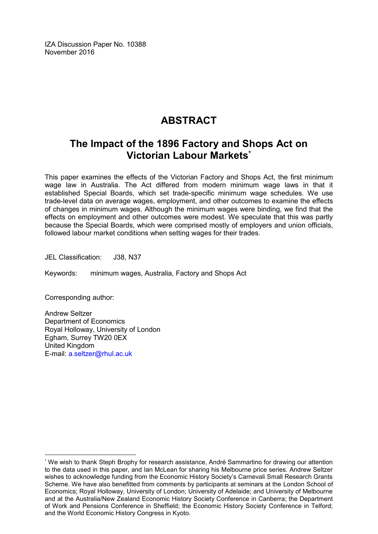IZA Discussion Paper No. 10388 November 2016

# **ABSTRACT**

# **The Impact of the 1896 Factory and Shops Act on Victorian Labour Markets\***

This paper examines the effects of the Victorian Factory and Shops Act, the first minimum wage law in Australia. The Act differed from modern minimum wage laws in that it established Special Boards, which set trade-specific minimum wage schedules. We use trade-level data on average wages, employment, and other outcomes to examine the effects of changes in minimum wages. Although the minimum wages were binding, we find that the effects on employment and other outcomes were modest. We speculate that this was partly because the Special Boards, which were comprised mostly of employers and union officials, followed labour market conditions when setting wages for their trades.

JEL Classification: J38, N37

Keywords: minimum wages, Australia, Factory and Shops Act

Corresponding author:

 $\overline{a}$ 

Andrew Seltzer Department of Economics Royal Holloway, University of London Egham, Surrey TW20 0EX United Kingdom E-mail: [a.seltzer@rhul.ac.uk](mailto:a.seltzer@rhul.ac.uk)

<sup>\*</sup> We wish to thank Steph Brophy for research assistance, André Sammartino for drawing our attention to the data used in this paper, and Ian McLean for sharing his Melbourne price series. Andrew Seltzer wishes to acknowledge funding from the Economic History Society's Carnevali Small Research Grants Scheme. We have also benefitted from comments by participants at seminars at the London School of Economics; Royal Holloway, University of London; University of Adelaide; and University of Melbourne and at the Australia/New Zealand Economic History Society Conference in Canberra; the Department of Work and Pensions Conference in Sheffield; the Economic History Society Conference in Telford; and the World Economic History Congress in Kyoto.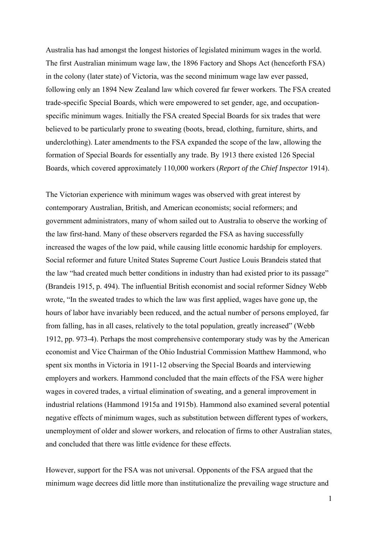Australia has had amongst the longest histories of legislated minimum wages in the world. The first Australian minimum wage law, the 1896 Factory and Shops Act (henceforth FSA) in the colony (later state) of Victoria, was the second minimum wage law ever passed, following only an 1894 New Zealand law which covered far fewer workers. The FSA created trade-specific Special Boards, which were empowered to set gender, age, and occupationspecific minimum wages. Initially the FSA created Special Boards for six trades that were believed to be particularly prone to sweating (boots, bread, clothing, furniture, shirts, and underclothing). Later amendments to the FSA expanded the scope of the law, allowing the formation of Special Boards for essentially any trade. By 1913 there existed 126 Special Boards, which covered approximately 110,000 workers (*Report of the Chief Inspector* 1914).

The Victorian experience with minimum wages was observed with great interest by contemporary Australian, British, and American economists; social reformers; and government administrators, many of whom sailed out to Australia to observe the working of the law first-hand. Many of these observers regarded the FSA as having successfully increased the wages of the low paid, while causing little economic hardship for employers. Social reformer and future United States Supreme Court Justice Louis Brandeis stated that the law "had created much better conditions in industry than had existed prior to its passage" (Brandeis 1915, p. 494). The influential British economist and social reformer Sidney Webb wrote, "In the sweated trades to which the law was first applied, wages have gone up, the hours of labor have invariably been reduced, and the actual number of persons employed, far from falling, has in all cases, relatively to the total population, greatly increased" (Webb 1912, pp. 973-4). Perhaps the most comprehensive contemporary study was by the American economist and Vice Chairman of the Ohio Industrial Commission Matthew Hammond, who spent six months in Victoria in 1911-12 observing the Special Boards and interviewing employers and workers. Hammond concluded that the main effects of the FSA were higher wages in covered trades, a virtual elimination of sweating, and a general improvement in industrial relations (Hammond 1915a and 1915b). Hammond also examined several potential negative effects of minimum wages, such as substitution between different types of workers, unemployment of older and slower workers, and relocation of firms to other Australian states, and concluded that there was little evidence for these effects.

However, support for the FSA was not universal. Opponents of the FSA argued that the minimum wage decrees did little more than institutionalize the prevailing wage structure and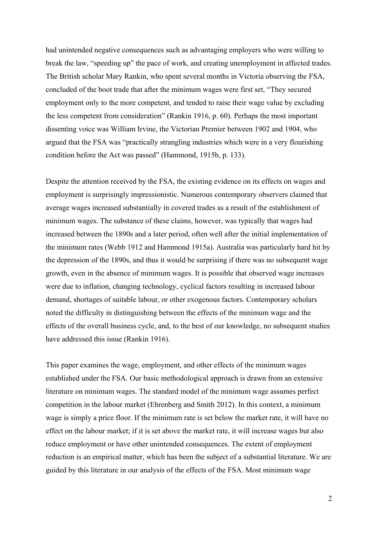had unintended negative consequences such as advantaging employers who were willing to break the law, "speeding up" the pace of work, and creating unemployment in affected trades. The British scholar Mary Rankin, who spent several months in Victoria observing the FSA, concluded of the boot trade that after the minimum wages were first set, "They secured employment only to the more competent, and tended to raise their wage value by excluding the less competent from consideration" (Rankin 1916, p. 60). Perhaps the most important dissenting voice was William Irvine, the Victorian Premier between 1902 and 1904, who argued that the FSA was "practically strangling industries which were in a very flourishing condition before the Act was passed" (Hammond, 1915b, p. 133).

Despite the attention received by the FSA, the existing evidence on its effects on wages and employment is surprisingly impressionistic. Numerous contemporary observers claimed that average wages increased substantially in covered trades as a result of the establishment of minimum wages. The substance of these claims, however, was typically that wages had increased between the 1890s and a later period, often well after the initial implementation of the minimum rates (Webb 1912 and Hammond 1915a). Australia was particularly hard hit by the depression of the 1890s, and thus it would be surprising if there was no subsequent wage growth, even in the absence of minimum wages. It is possible that observed wage increases were due to inflation, changing technology, cyclical factors resulting in increased labour demand, shortages of suitable labour, or other exogenous factors. Contemporary scholars noted the difficulty in distinguishing between the effects of the minimum wage and the effects of the overall business cycle, and, to the best of our knowledge, no subsequent studies have addressed this issue (Rankin 1916).

This paper examines the wage, employment, and other effects of the minimum wages established under the FSA. Our basic methodological approach is drawn from an extensive literature on minimum wages. The standard model of the minimum wage assumes perfect competition in the labour market (Ehrenberg and Smith 2012). In this context, a minimum wage is simply a price floor. If the minimum rate is set below the market rate, it will have no effect on the labour market; if it is set above the market rate, it will increase wages but also reduce employment or have other unintended consequences. The extent of employment reduction is an empirical matter, which has been the subject of a substantial literature. We are guided by this literature in our analysis of the effects of the FSA. Most minimum wage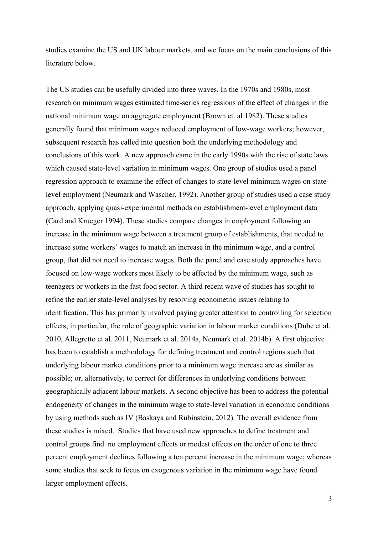studies examine the US and UK labour markets, and we focus on the main conclusions of this literature below.

The US studies can be usefully divided into three waves. In the 1970s and 1980s, most research on minimum wages estimated time-series regressions of the effect of changes in the national minimum wage on aggregate employment (Brown et. al 1982). These studies generally found that minimum wages reduced employment of low-wage workers; however, subsequent research has called into question both the underlying methodology and conclusions of this work. A new approach came in the early 1990s with the rise of state laws which caused state-level variation in minimum wages. One group of studies used a panel regression approach to examine the effect of changes to state-level minimum wages on statelevel employment (Neumark and Wascher, 1992). Another group of studies used a case study approach, applying quasi-experimental methods on establishment-level employment data (Card and Krueger 1994). These studies compare changes in employment following an increase in the minimum wage between a treatment group of establishments, that needed to increase some workers' wages to match an increase in the minimum wage, and a control group, that did not need to increase wages. Both the panel and case study approaches have focused on low-wage workers most likely to be affected by the minimum wage, such as teenagers or workers in the fast food sector. A third recent wave of studies has sought to refine the earlier state-level analyses by resolving econometric issues relating to identification. This has primarily involved paying greater attention to controlling for selection effects; in particular, the role of geographic variation in labour market conditions (Dube et al. 2010, Allegretto et al. 2011, Neumark et al. 2014a, Neumark et al. 2014b). A first objective has been to establish a methodology for defining treatment and control regions such that underlying labour market conditions prior to a minimum wage increase are as similar as possible; or, alternatively, to correct for differences in underlying conditions between geographically adjacent labour markets. A second objective has been to address the potential endogeneity of changes in the minimum wage to state-level variation in economic conditions by using methods such as IV (Baskaya and Rubinstein, 2012). The overall evidence from these studies is mixed. Studies that have used new approaches to define treatment and control groups find no employment effects or modest effects on the order of one to three percent employment declines following a ten percent increase in the minimum wage; whereas some studies that seek to focus on exogenous variation in the minimum wage have found larger employment effects.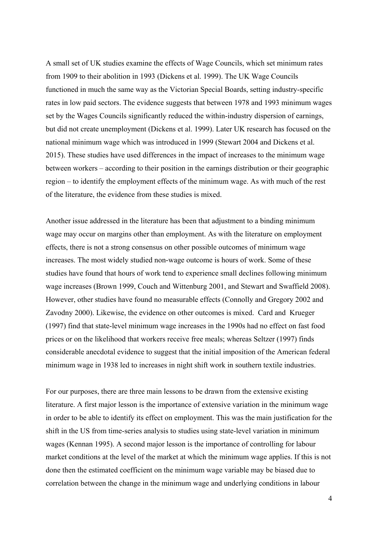A small set of UK studies examine the effects of Wage Councils, which set minimum rates from 1909 to their abolition in 1993 (Dickens et al. 1999). The UK Wage Councils functioned in much the same way as the Victorian Special Boards, setting industry-specific rates in low paid sectors. The evidence suggests that between 1978 and 1993 minimum wages set by the Wages Councils significantly reduced the within-industry dispersion of earnings, but did not create unemployment (Dickens et al. 1999). Later UK research has focused on the national minimum wage which was introduced in 1999 (Stewart 2004 and Dickens et al. 2015). These studies have used differences in the impact of increases to the minimum wage between workers – according to their position in the earnings distribution or their geographic region – to identify the employment effects of the minimum wage. As with much of the rest of the literature, the evidence from these studies is mixed.

Another issue addressed in the literature has been that adjustment to a binding minimum wage may occur on margins other than employment. As with the literature on employment effects, there is not a strong consensus on other possible outcomes of minimum wage increases. The most widely studied non-wage outcome is hours of work. Some of these studies have found that hours of work tend to experience small declines following minimum wage increases (Brown 1999, Couch and Wittenburg 2001, and Stewart and Swaffield 2008). However, other studies have found no measurable effects (Connolly and Gregory 2002 and Zavodny 2000). Likewise, the evidence on other outcomes is mixed. Card and Krueger (1997) find that state-level minimum wage increases in the 1990s had no effect on fast food prices or on the likelihood that workers receive free meals; whereas Seltzer (1997) finds considerable anecdotal evidence to suggest that the initial imposition of the American federal minimum wage in 1938 led to increases in night shift work in southern textile industries.

For our purposes, there are three main lessons to be drawn from the extensive existing literature. A first major lesson is the importance of extensive variation in the minimum wage in order to be able to identify its effect on employment. This was the main justification for the shift in the US from time-series analysis to studies using state-level variation in minimum wages (Kennan 1995). A second major lesson is the importance of controlling for labour market conditions at the level of the market at which the minimum wage applies. If this is not done then the estimated coefficient on the minimum wage variable may be biased due to correlation between the change in the minimum wage and underlying conditions in labour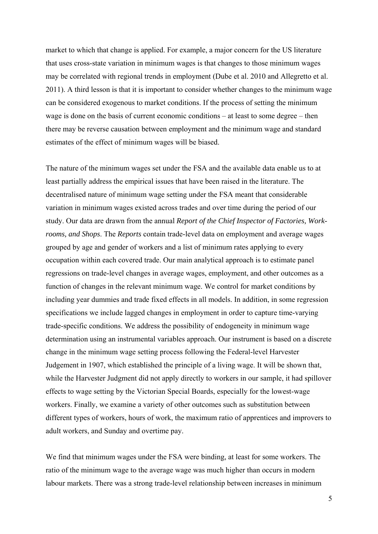market to which that change is applied. For example, a major concern for the US literature that uses cross-state variation in minimum wages is that changes to those minimum wages may be correlated with regional trends in employment (Dube et al. 2010 and Allegretto et al. 2011). A third lesson is that it is important to consider whether changes to the minimum wage can be considered exogenous to market conditions. If the process of setting the minimum wage is done on the basis of current economic conditions – at least to some degree – then there may be reverse causation between employment and the minimum wage and standard estimates of the effect of minimum wages will be biased.

The nature of the minimum wages set under the FSA and the available data enable us to at least partially address the empirical issues that have been raised in the literature. The decentralised nature of minimum wage setting under the FSA meant that considerable variation in minimum wages existed across trades and over time during the period of our study. Our data are drawn from the annual *Report of the Chief Inspector of Factories, Workrooms, and Shops*. The *Reports* contain trade-level data on employment and average wages grouped by age and gender of workers and a list of minimum rates applying to every occupation within each covered trade. Our main analytical approach is to estimate panel regressions on trade-level changes in average wages, employment, and other outcomes as a function of changes in the relevant minimum wage. We control for market conditions by including year dummies and trade fixed effects in all models. In addition, in some regression specifications we include lagged changes in employment in order to capture time-varying trade-specific conditions. We address the possibility of endogeneity in minimum wage determination using an instrumental variables approach. Our instrument is based on a discrete change in the minimum wage setting process following the Federal-level Harvester Judgement in 1907, which established the principle of a living wage. It will be shown that, while the Harvester Judgment did not apply directly to workers in our sample, it had spillover effects to wage setting by the Victorian Special Boards, especially for the lowest-wage workers. Finally, we examine a variety of other outcomes such as substitution between different types of workers, hours of work, the maximum ratio of apprentices and improvers to adult workers, and Sunday and overtime pay.

We find that minimum wages under the FSA were binding, at least for some workers. The ratio of the minimum wage to the average wage was much higher than occurs in modern labour markets. There was a strong trade-level relationship between increases in minimum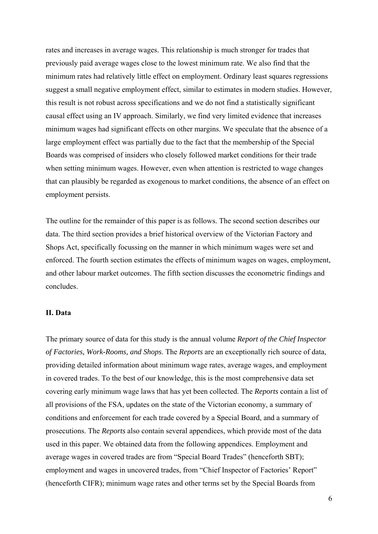rates and increases in average wages. This relationship is much stronger for trades that previously paid average wages close to the lowest minimum rate. We also find that the minimum rates had relatively little effect on employment. Ordinary least squares regressions suggest a small negative employment effect, similar to estimates in modern studies. However, this result is not robust across specifications and we do not find a statistically significant causal effect using an IV approach. Similarly, we find very limited evidence that increases minimum wages had significant effects on other margins. We speculate that the absence of a large employment effect was partially due to the fact that the membership of the Special Boards was comprised of insiders who closely followed market conditions for their trade when setting minimum wages. However, even when attention is restricted to wage changes that can plausibly be regarded as exogenous to market conditions, the absence of an effect on employment persists.

The outline for the remainder of this paper is as follows. The second section describes our data. The third section provides a brief historical overview of the Victorian Factory and Shops Act, specifically focussing on the manner in which minimum wages were set and enforced. The fourth section estimates the effects of minimum wages on wages, employment, and other labour market outcomes. The fifth section discusses the econometric findings and concludes.

#### **II. Data**

The primary source of data for this study is the annual volume *Report of the Chief Inspector of Factories, Work-Rooms, and Shops*. The *Reports* are an exceptionally rich source of data, providing detailed information about minimum wage rates, average wages, and employment in covered trades. To the best of our knowledge, this is the most comprehensive data set covering early minimum wage laws that has yet been collected. The *Reports* contain a list of all provisions of the FSA, updates on the state of the Victorian economy, a summary of conditions and enforcement for each trade covered by a Special Board, and a summary of prosecutions. The *Reports* also contain several appendices, which provide most of the data used in this paper. We obtained data from the following appendices. Employment and average wages in covered trades are from "Special Board Trades" (henceforth SBT); employment and wages in uncovered trades, from "Chief Inspector of Factories' Report" (henceforth CIFR); minimum wage rates and other terms set by the Special Boards from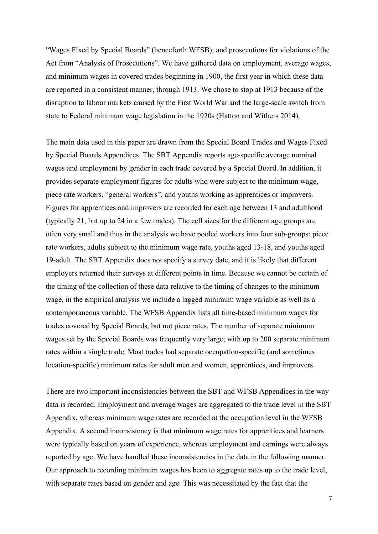"Wages Fixed by Special Boards" (henceforth WFSB); and prosecutions for violations of the Act from "Analysis of Prosecutions". We have gathered data on employment, average wages, and minimum wages in covered trades beginning in 1900, the first year in which these data are reported in a consistent manner, through 1913. We chose to stop at 1913 because of the disruption to labour markets caused by the First World War and the large-scale switch from state to Federal minimum wage legislation in the 1920s (Hatton and Withers 2014).

The main data used in this paper are drawn from the Special Board Trades and Wages Fixed by Special Boards Appendices. The SBT Appendix reports age-specific average nominal wages and employment by gender in each trade covered by a Special Board. In addition, it provides separate employment figures for adults who were subject to the minimum wage, piece rate workers, "general workers", and youths working as apprentices or improvers. Figures for apprentices and improvers are recorded for each age between 13 and adulthood (typically 21, but up to 24 in a few trades). The cell sizes for the different age groups are often very small and thus in the analysis we have pooled workers into four sub-groups: piece rate workers, adults subject to the minimum wage rate, youths aged 13-18, and youths aged 19-adult. The SBT Appendix does not specify a survey date, and it is likely that different employers returned their surveys at different points in time. Because we cannot be certain of the timing of the collection of these data relative to the timing of changes to the minimum wage, in the empirical analysis we include a lagged minimum wage variable as well as a contemporaneous variable. The WFSB Appendix lists all time-based minimum wages for trades covered by Special Boards, but not piece rates. The number of separate minimum wages set by the Special Boards was frequently very large; with up to 200 separate minimum rates within a single trade. Most trades had separate occupation-specific (and sometimes location-specific) minimum rates for adult men and women, apprentices, and improvers.

There are two important inconsistencies between the SBT and WFSB Appendices in the way data is recorded. Employment and average wages are aggregated to the trade level in the SBT Appendix, whereas minimum wage rates are recorded at the occupation level in the WFSB Appendix. A second inconsistency is that minimum wage rates for apprentices and learners were typically based on years of experience, whereas employment and earnings were always reported by age. We have handled these inconsistencies in the data in the following manner. Our approach to recording minimum wages has been to aggregate rates up to the trade level, with separate rates based on gender and age. This was necessitated by the fact that the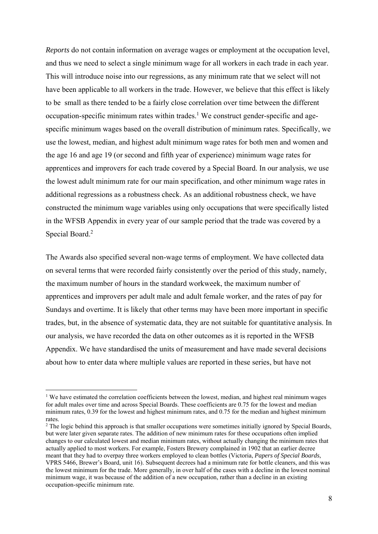*Reports* do not contain information on average wages or employment at the occupation level, and thus we need to select a single minimum wage for all workers in each trade in each year. This will introduce noise into our regressions, as any minimum rate that we select will not have been applicable to all workers in the trade. However, we believe that this effect is likely to be small as there tended to be a fairly close correlation over time between the different  $occupation-specific minimum rates within trades.<sup>1</sup> We construct gender-specific and age$ specific minimum wages based on the overall distribution of minimum rates. Specifically, we use the lowest, median, and highest adult minimum wage rates for both men and women and the age 16 and age 19 (or second and fifth year of experience) minimum wage rates for apprentices and improvers for each trade covered by a Special Board. In our analysis, we use the lowest adult minimum rate for our main specification, and other minimum wage rates in additional regressions as a robustness check. As an additional robustness check, we have constructed the minimum wage variables using only occupations that were specifically listed in the WFSB Appendix in every year of our sample period that the trade was covered by a Special Board.<sup>2</sup>

The Awards also specified several non-wage terms of employment. We have collected data on several terms that were recorded fairly consistently over the period of this study, namely, the maximum number of hours in the standard workweek, the maximum number of apprentices and improvers per adult male and adult female worker, and the rates of pay for Sundays and overtime. It is likely that other terms may have been more important in specific trades, but, in the absence of systematic data, they are not suitable for quantitative analysis. In our analysis, we have recorded the data on other outcomes as it is reported in the WFSB Appendix. We have standardised the units of measurement and have made several decisions about how to enter data where multiple values are reported in these series, but have not

<sup>&</sup>lt;sup>1</sup> We have estimated the correlation coefficients between the lowest, median, and highest real minimum wages for adult males over time and across Special Boards. These coefficients are 0.75 for the lowest and median minimum rates, 0.39 for the lowest and highest minimum rates, and 0.75 for the median and highest minimum rates.

<sup>&</sup>lt;sup>2</sup> The logic behind this approach is that smaller occupations were sometimes initially ignored by Special Boards, but were later given separate rates. The addition of new minimum rates for these occupations often implied changes to our calculated lowest and median minimum rates, without actually changing the minimum rates that actually applied to most workers. For example, Fosters Brewery complained in 1902 that an earlier decree meant that they had to overpay three workers employed to clean bottles (Victoria, *Papers of Special Boards*, VPRS 5466, Brewer's Board, unit 16). Subsequent decrees had a minimum rate for bottle cleaners, and this was the lowest minimum for the trade. More generally, in over half of the cases with a decline in the lowest nominal minimum wage, it was because of the addition of a new occupation, rather than a decline in an existing occupation-specific minimum rate.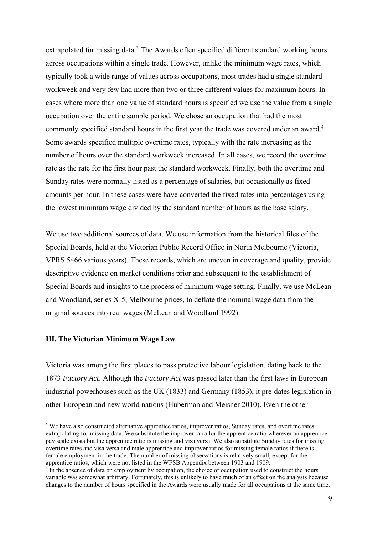extrapolated for missing data.<sup>3</sup> The Awards often specified different standard working hours across occupations within a single trade. However, unlike the minimum wage rates, which typically took a wide range of values across occupations, most trades had a single standard workweek and very few had more than two or three different values for maximum hours. In cases where more than one value of standard hours is specified we use the value from a single occupation over the entire sample period. We chose an occupation that had the most commonly specified standard hours in the first year the trade was covered under an award.<sup>4</sup> Some awards specified multiple overtime rates, typically with the rate increasing as the number of hours over the standard workweek increased. In all cases, we record the overtime rate as the rate for the first hour past the standard workweek. Finally, both the overtime and Sunday rates were normally listed as a percentage of salaries, but occasionally as fixed amounts per hour. In these cases were have converted the fixed rates into percentages using the lowest minimum wage divided by the standard number of hours as the base salary.

We use two additional sources of data. We use information from the historical files of the Special Boards, held at the Victorian Public Record Office in North Melbourne (Victoria, VPRS 5466 various years). These records, which are uneven in coverage and quality, provide descriptive evidence on market conditions prior and subsequent to the establishment of Special Boards and insights to the process of minimum wage setting. Finally, we use McLean and Woodland, series X-5, Melbourne prices, to deflate the nominal wage data from the original sources into real wages (McLean and Woodland 1992).

#### **III. The Victorian Minimum Wage Law**

Victoria was among the first places to pass protective labour legislation, dating back to the 1873 *Factory Act*. Although the *Factory Act* was passed later than the first laws in European industrial powerhouses such as the UK (1833) and Germany (1853), it pre-dates legislation in other European and new world nations (Huberman and Meisner 2010). Even the other

<sup>&</sup>lt;sup>3</sup> We have also constructed alternative apprentice ratios, improver ratios, Sunday rates, and overtime rates extrapolating for missing data. We substitute the improver ratio for the apprentice ratio wherever an apprentice pay scale exists but the apprentice ratio is missing and visa versa. We also substitute Sunday rates for missing overtime rates and visa versa and male apprentice and improver ratios for missing female ratios if there is female employment in the trade. The number of missing observations is relatively small, except for the apprentice ratios, which were not listed in the WFSB Appendix between 1903 and 1909.

<sup>&</sup>lt;sup>4</sup> In the absence of data on employment by occupation, the choice of occupation used to construct the hours variable was somewhat arbitrary. Fortunately, this is unlikely to have much of an effect on the analysis because changes to the number of hours specified in the Awards were usually made for all occupations at the same time.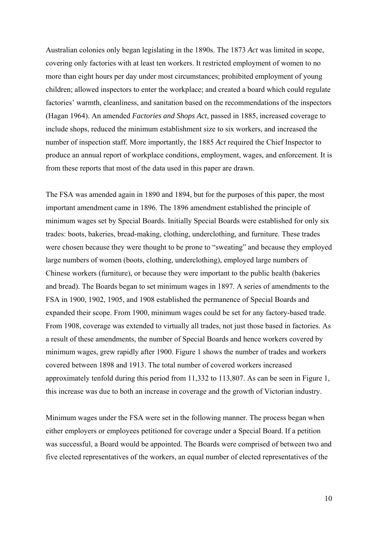Australian colonies only began legislating in the 1890s. The 1873 *Act* was limited in scope, covering only factories with at least ten workers. It restricted employment of women to no more than eight hours per day under most circumstances; prohibited employment of young children; allowed inspectors to enter the workplace; and created a board which could regulate factories' warmth, cleanliness, and sanitation based on the recommendations of the inspectors (Hagan 1964). An amended *Factories and Shops Act*, passed in 1885, increased coverage to include shops, reduced the minimum establishment size to six workers, and increased the number of inspection staff. More importantly, the 1885 *Act* required the Chief Inspector to produce an annual report of workplace conditions, employment, wages, and enforcement. It is from these reports that most of the data used in this paper are drawn.

The FSA was amended again in 1890 and 1894, but for the purposes of this paper, the most important amendment came in 1896. The 1896 amendment established the principle of minimum wages set by Special Boards. Initially Special Boards were established for only six trades: boots, bakeries, bread-making, clothing, underclothing, and furniture. These trades were chosen because they were thought to be prone to "sweating" and because they employed large numbers of women (boots, clothing, underclothing), employed large numbers of Chinese workers (furniture), or because they were important to the public health (bakeries and bread). The Boards began to set minimum wages in 1897. A series of amendments to the FSA in 1900, 1902, 1905, and 1908 established the permanence of Special Boards and expanded their scope. From 1900, minimum wages could be set for any factory-based trade. From 1908, coverage was extended to virtually all trades, not just those based in factories. As a result of these amendments, the number of Special Boards and hence workers covered by minimum wages, grew rapidly after 1900. Figure 1 shows the number of trades and workers covered between 1898 and 1913. The total number of covered workers increased approximately tenfold during this period from 11,332 to 113,807. As can be seen in Figure 1, this increase was due to both an increase in coverage and the growth of Victorian industry.

Minimum wages under the FSA were set in the following manner. The process began when either employers or employees petitioned for coverage under a Special Board. If a petition was successful, a Board would be appointed. The Boards were comprised of between two and five elected representatives of the workers, an equal number of elected representatives of the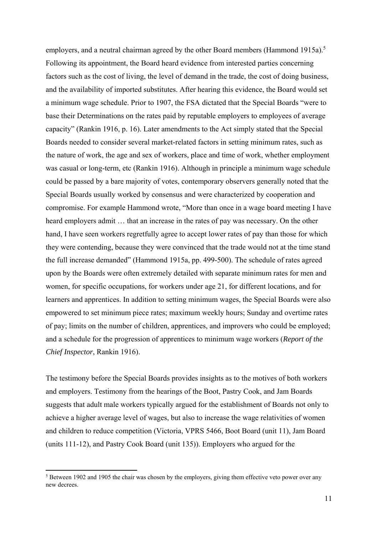employers, and a neutral chairman agreed by the other Board members (Hammond 1915a).<sup>5</sup> Following its appointment, the Board heard evidence from interested parties concerning factors such as the cost of living, the level of demand in the trade, the cost of doing business, and the availability of imported substitutes. After hearing this evidence, the Board would set a minimum wage schedule. Prior to 1907, the FSA dictated that the Special Boards "were to base their Determinations on the rates paid by reputable employers to employees of average capacity" (Rankin 1916, p. 16). Later amendments to the Act simply stated that the Special Boards needed to consider several market-related factors in setting minimum rates, such as the nature of work, the age and sex of workers, place and time of work, whether employment was casual or long-term, etc (Rankin 1916). Although in principle a minimum wage schedule could be passed by a bare majority of votes, contemporary observers generally noted that the Special Boards usually worked by consensus and were characterized by cooperation and compromise. For example Hammond wrote, "More than once in a wage board meeting I have heard employers admit … that an increase in the rates of pay was necessary. On the other hand, I have seen workers regretfully agree to accept lower rates of pay than those for which they were contending, because they were convinced that the trade would not at the time stand the full increase demanded" (Hammond 1915a, pp. 499-500). The schedule of rates agreed upon by the Boards were often extremely detailed with separate minimum rates for men and women, for specific occupations, for workers under age 21, for different locations, and for learners and apprentices. In addition to setting minimum wages, the Special Boards were also empowered to set minimum piece rates; maximum weekly hours; Sunday and overtime rates of pay; limits on the number of children, apprentices, and improvers who could be employed; and a schedule for the progression of apprentices to minimum wage workers (*Report of the Chief Inspector*, Rankin 1916).

The testimony before the Special Boards provides insights as to the motives of both workers and employers. Testimony from the hearings of the Boot, Pastry Cook, and Jam Boards suggests that adult male workers typically argued for the establishment of Boards not only to achieve a higher average level of wages, but also to increase the wage relativities of women and children to reduce competition (Victoria, VPRS 5466, Boot Board (unit 11), Jam Board (units 111-12), and Pastry Cook Board (unit 135)). Employers who argued for the

<sup>&</sup>lt;sup>5</sup> Between 1902 and 1905 the chair was chosen by the employers, giving them effective veto power over any new decrees.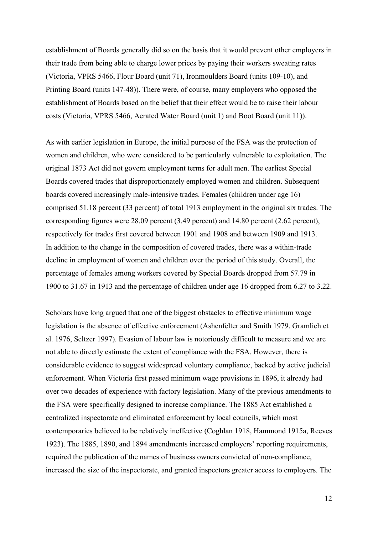establishment of Boards generally did so on the basis that it would prevent other employers in their trade from being able to charge lower prices by paying their workers sweating rates (Victoria, VPRS 5466, Flour Board (unit 71), Ironmoulders Board (units 109-10), and Printing Board (units 147-48)). There were, of course, many employers who opposed the establishment of Boards based on the belief that their effect would be to raise their labour costs (Victoria, VPRS 5466, Aerated Water Board (unit 1) and Boot Board (unit 11)).

As with earlier legislation in Europe, the initial purpose of the FSA was the protection of women and children, who were considered to be particularly vulnerable to exploitation. The original 1873 Act did not govern employment terms for adult men. The earliest Special Boards covered trades that disproportionately employed women and children. Subsequent boards covered increasingly male-intensive trades. Females (children under age 16) comprised 51.18 percent (33 percent) of total 1913 employment in the original six trades. The corresponding figures were 28.09 percent (3.49 percent) and 14.80 percent (2.62 percent), respectively for trades first covered between 1901 and 1908 and between 1909 and 1913. In addition to the change in the composition of covered trades, there was a within-trade decline in employment of women and children over the period of this study. Overall, the percentage of females among workers covered by Special Boards dropped from 57.79 in 1900 to 31.67 in 1913 and the percentage of children under age 16 dropped from 6.27 to 3.22.

Scholars have long argued that one of the biggest obstacles to effective minimum wage legislation is the absence of effective enforcement (Ashenfelter and Smith 1979, Gramlich et al. 1976, Seltzer 1997). Evasion of labour law is notoriously difficult to measure and we are not able to directly estimate the extent of compliance with the FSA. However, there is considerable evidence to suggest widespread voluntary compliance, backed by active judicial enforcement. When Victoria first passed minimum wage provisions in 1896, it already had over two decades of experience with factory legislation. Many of the previous amendments to the FSA were specifically designed to increase compliance. The 1885 Act established a centralized inspectorate and eliminated enforcement by local councils, which most contemporaries believed to be relatively ineffective (Coghlan 1918, Hammond 1915a, Reeves 1923). The 1885, 1890, and 1894 amendments increased employers' reporting requirements, required the publication of the names of business owners convicted of non-compliance, increased the size of the inspectorate, and granted inspectors greater access to employers. The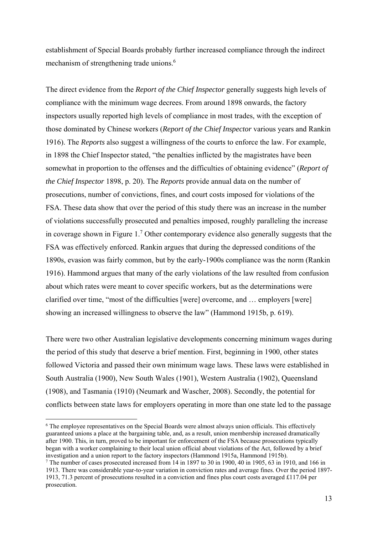establishment of Special Boards probably further increased compliance through the indirect mechanism of strengthening trade unions.<sup>6</sup>

The direct evidence from the *Report of the Chief Inspector* generally suggests high levels of compliance with the minimum wage decrees. From around 1898 onwards, the factory inspectors usually reported high levels of compliance in most trades, with the exception of those dominated by Chinese workers (*Report of the Chief Inspector* various years and Rankin 1916). The *Reports* also suggest a willingness of the courts to enforce the law. For example, in 1898 the Chief Inspector stated, "the penalties inflicted by the magistrates have been somewhat in proportion to the offenses and the difficulties of obtaining evidence" (*Report of the Chief Inspector* 1898, p. 20). The *Reports* provide annual data on the number of prosecutions, number of convictions, fines, and court costs imposed for violations of the FSA. These data show that over the period of this study there was an increase in the number of violations successfully prosecuted and penalties imposed, roughly paralleling the increase in coverage shown in Figure 1.<sup>7</sup> Other contemporary evidence also generally suggests that the FSA was effectively enforced. Rankin argues that during the depressed conditions of the 1890s, evasion was fairly common, but by the early-1900s compliance was the norm (Rankin 1916). Hammond argues that many of the early violations of the law resulted from confusion about which rates were meant to cover specific workers, but as the determinations were clarified over time, "most of the difficulties [were] overcome, and … employers [were] showing an increased willingness to observe the law" (Hammond 1915b, p. 619).

There were two other Australian legislative developments concerning minimum wages during the period of this study that deserve a brief mention. First, beginning in 1900, other states followed Victoria and passed their own minimum wage laws. These laws were established in South Australia (1900), New South Wales (1901), Western Australia (1902), Queensland (1908), and Tasmania (1910) (Neumark and Wascher, 2008). Secondly, the potential for conflicts between state laws for employers operating in more than one state led to the passage

<sup>&</sup>lt;sup>6</sup> The employee representatives on the Special Boards were almost always union officials. This effectively guaranteed unions a place at the bargaining table, and, as a result, union membership increased dramatically after 1900. This, in turn, proved to be important for enforcement of the FSA because prosecutions typically began with a worker complaining to their local union official about violations of the Act, followed by a brief investigation and a union report to the factory inspectors (Hammond 1915a, Hammond 1915b).

The number of cases prosecuted increased from 14 in 1897 to 30 in 1900, 40 in 1905, 63 in 1910, and 166 in 1913. There was considerable year-to-year variation in conviction rates and average fines. Over the period 1897- 1913, 71.3 percent of prosecutions resulted in a conviction and fines plus court costs averaged £117.04 per prosecution.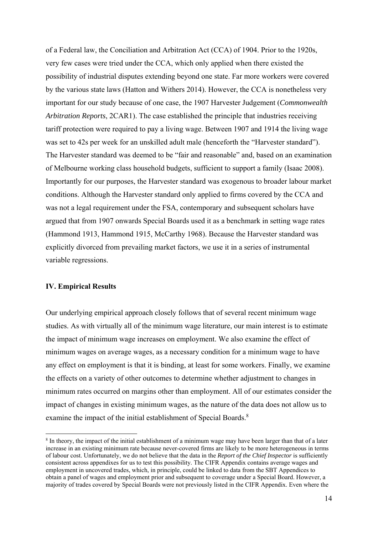of a Federal law, the Conciliation and Arbitration Act (CCA) of 1904. Prior to the 1920s, very few cases were tried under the CCA, which only applied when there existed the possibility of industrial disputes extending beyond one state. Far more workers were covered by the various state laws (Hatton and Withers 2014). However, the CCA is nonetheless very important for our study because of one case, the 1907 Harvester Judgement (*Commonwealth Arbitration Reports*, 2CAR1). The case established the principle that industries receiving tariff protection were required to pay a living wage. Between 1907 and 1914 the living wage was set to 42s per week for an unskilled adult male (henceforth the "Harvester standard"). The Harvester standard was deemed to be "fair and reasonable" and, based on an examination of Melbourne working class household budgets, sufficient to support a family (Isaac 2008). Importantly for our purposes, the Harvester standard was exogenous to broader labour market conditions. Although the Harvester standard only applied to firms covered by the CCA and was not a legal requirement under the FSA, contemporary and subsequent scholars have argued that from 1907 onwards Special Boards used it as a benchmark in setting wage rates (Hammond 1913, Hammond 1915, McCarthy 1968). Because the Harvester standard was explicitly divorced from prevailing market factors, we use it in a series of instrumental variable regressions.

#### **IV. Empirical Results**

Our underlying empirical approach closely follows that of several recent minimum wage studies. As with virtually all of the minimum wage literature, our main interest is to estimate the impact of minimum wage increases on employment. We also examine the effect of minimum wages on average wages, as a necessary condition for a minimum wage to have any effect on employment is that it is binding, at least for some workers. Finally, we examine the effects on a variety of other outcomes to determine whether adjustment to changes in minimum rates occurred on margins other than employment. All of our estimates consider the impact of changes in existing minimum wages, as the nature of the data does not allow us to examine the impact of the initial establishment of Special Boards.<sup>8</sup>

<sup>8</sup> In theory, the impact of the initial establishment of a minimum wage may have been larger than that of a later increase in an existing minimum rate because never-covered firms are likely to be more heterogeneous in terms of labour cost. Unfortunately, we do not believe that the data in the *Report of the Chief Inspector* is sufficiently consistent across appendixes for us to test this possibility. The CIFR Appendix contains average wages and employment in uncovered trades, which, in principle, could be linked to data from the SBT Appendices to obtain a panel of wages and employment prior and subsequent to coverage under a Special Board. However, a majority of trades covered by Special Boards were not previously listed in the CIFR Appendix. Even where the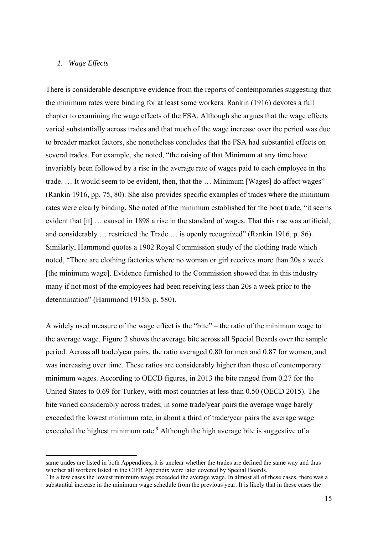#### *1. Wage Effects*

There is considerable descriptive evidence from the reports of contemporaries suggesting that the minimum rates were binding for at least some workers. Rankin (1916) devotes a full chapter to examining the wage effects of the FSA. Although she argues that the wage effects varied substantially across trades and that much of the wage increase over the period was due to broader market factors, she nonetheless concludes that the FSA had substantial effects on several trades. For example, she noted, "the raising of that Minimum at any time have invariably been followed by a rise in the average rate of wages paid to each employee in the trade. … It would seem to be evident, then, that the … Minimum [Wages] do affect wages" (Rankin 1916, pp. 75, 80). She also provides specific examples of trades where the minimum rates were clearly binding. She noted of the minimum established for the boot trade, "it seems evident that [it] … caused in 1898 a rise in the standard of wages. That this rise was artificial, and considerably … restricted the Trade … is openly recognized" (Rankin 1916, p. 86). Similarly, Hammond quotes a 1902 Royal Commission study of the clothing trade which noted, "There are clothing factories where no woman or girl receives more than 20s a week [the minimum wage]. Evidence furnished to the Commission showed that in this industry many if not most of the employees had been receiving less than 20s a week prior to the determination" (Hammond 1915b, p. 580).

A widely used measure of the wage effect is the "bite" – the ratio of the minimum wage to the average wage. Figure 2 shows the average bite across all Special Boards over the sample period. Across all trade/year pairs, the ratio averaged 0.80 for men and 0.87 for women, and was increasing over time. These ratios are considerably higher than those of contemporary minimum wages. According to OECD figures, in 2013 the bite ranged from 0.27 for the United States to 0.69 for Turkey, with most countries at less than 0.50 (OECD 2015). The bite varied considerably across trades; in some trade/year pairs the average wage barely exceeded the lowest minimum rate, in about a third of trade/year pairs the average wage exceeded the highest minimum rate. $9$  Although the high average bite is suggestive of a

same trades are listed in both Appendices, it is unclear whether the trades are defined the same way and thus whether all workers listed in the CIFR Appendix were later covered by Special Boards.

<sup>&</sup>lt;sup>9</sup> In a few cases the lowest minimum wage exceeded the average wage. In almost all of these cases, there was a substantial increase in the minimum wage schedule from the previous year. It is likely that in these cases the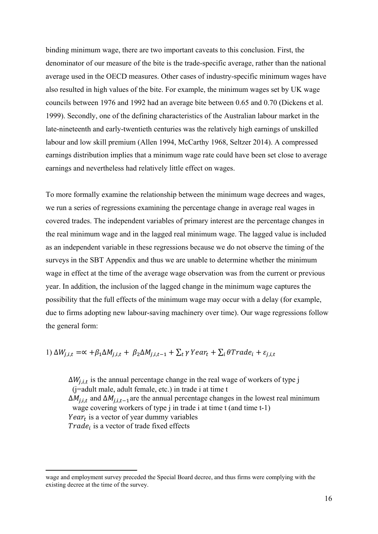binding minimum wage, there are two important caveats to this conclusion. First, the denominator of our measure of the bite is the trade-specific average, rather than the national average used in the OECD measures. Other cases of industry-specific minimum wages have also resulted in high values of the bite. For example, the minimum wages set by UK wage councils between 1976 and 1992 had an average bite between 0.65 and 0.70 (Dickens et al. 1999). Secondly, one of the defining characteristics of the Australian labour market in the late-nineteenth and early-twentieth centuries was the relatively high earnings of unskilled labour and low skill premium (Allen 1994, McCarthy 1968, Seltzer 2014). A compressed earnings distribution implies that a minimum wage rate could have been set close to average earnings and nevertheless had relatively little effect on wages.

To more formally examine the relationship between the minimum wage decrees and wages, we run a series of regressions examining the percentage change in average real wages in covered trades. The independent variables of primary interest are the percentage changes in the real minimum wage and in the lagged real minimum wage. The lagged value is included as an independent variable in these regressions because we do not observe the timing of the surveys in the SBT Appendix and thus we are unable to determine whether the minimum wage in effect at the time of the average wage observation was from the current or previous year. In addition, the inclusion of the lagged change in the minimum wage captures the possibility that the full effects of the minimum wage may occur with a delay (for example, due to firms adopting new labour-saving machinery over time). Our wage regressions follow the general form:

1) 
$$
\Delta W_{j,i,t} = \alpha + \beta_1 \Delta M_{j,i,t} + \beta_2 \Delta M_{j,i,t-1} + \sum_t \gamma \text{ Year}_t + \sum_i \theta \text{Trade}_i + \varepsilon_{j,i,t}
$$

 $\Delta W_{i,i,t}$  is the annual percentage change in the real wage of workers of type j (j=adult male, adult female, etc.) in trade i at time t  $\Delta M_{i,i,t}$  and  $\Delta M_{i,i,t-1}$  are the annual percentage changes in the lowest real minimum wage covering workers of type j in trade i at time t (and time t-1) *Year*<sub>t</sub> is a vector of year dummy variables  $Trade_i$  is a vector of trade fixed effects

wage and employment survey preceded the Special Board decree, and thus firms were complying with the existing decree at the time of the survey.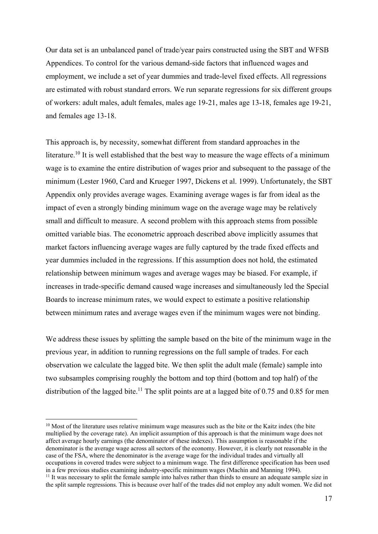Our data set is an unbalanced panel of trade/year pairs constructed using the SBT and WFSB Appendices. To control for the various demand-side factors that influenced wages and employment, we include a set of year dummies and trade-level fixed effects. All regressions are estimated with robust standard errors. We run separate regressions for six different groups of workers: adult males, adult females, males age 19-21, males age 13-18, females age 19-21, and females age 13-18.

This approach is, by necessity, somewhat different from standard approaches in the literature.<sup>10</sup> It is well established that the best way to measure the wage effects of a minimum wage is to examine the entire distribution of wages prior and subsequent to the passage of the minimum (Lester 1960, Card and Krueger 1997, Dickens et al. 1999). Unfortunately, the SBT Appendix only provides average wages. Examining average wages is far from ideal as the impact of even a strongly binding minimum wage on the average wage may be relatively small and difficult to measure. A second problem with this approach stems from possible omitted variable bias. The econometric approach described above implicitly assumes that market factors influencing average wages are fully captured by the trade fixed effects and year dummies included in the regressions. If this assumption does not hold, the estimated relationship between minimum wages and average wages may be biased. For example, if increases in trade-specific demand caused wage increases and simultaneously led the Special Boards to increase minimum rates, we would expect to estimate a positive relationship between minimum rates and average wages even if the minimum wages were not binding.

We address these issues by splitting the sample based on the bite of the minimum wage in the previous year, in addition to running regressions on the full sample of trades. For each observation we calculate the lagged bite. We then split the adult male (female) sample into two subsamples comprising roughly the bottom and top third (bottom and top half) of the distribution of the lagged bite.<sup>11</sup> The split points are at a lagged bite of 0.75 and 0.85 for men

<sup>&</sup>lt;sup>10</sup> Most of the literature uses relative minimum wage measures such as the bite or the Kaitz index (the bite multiplied by the coverage rate). An implicit assumption of this approach is that the minimum wage does not affect average hourly earnings (the denominator of these indexes). This assumption is reasonable if the denominator is the average wage across all sectors of the economy. However, it is clearly not reasonable in the case of the FSA, where the denominator is the average wage for the individual trades and virtually all occupations in covered trades were subject to a minimum wage. The first difference specification has been used in a few previous studies examining industry-specific minimum wages (Machin and Manning 1994).  $11$  It was necessary to split the female sample into halves rather than thirds to ensure an adequate sample size in

the split sample regressions. This is because over half of the trades did not employ any adult women. We did not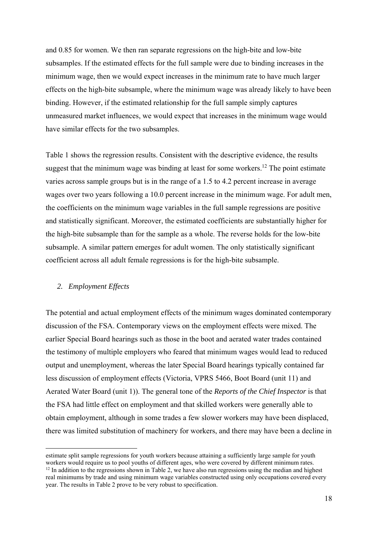and 0.85 for women. We then ran separate regressions on the high-bite and low-bite subsamples. If the estimated effects for the full sample were due to binding increases in the minimum wage, then we would expect increases in the minimum rate to have much larger effects on the high-bite subsample, where the minimum wage was already likely to have been binding. However, if the estimated relationship for the full sample simply captures unmeasured market influences, we would expect that increases in the minimum wage would have similar effects for the two subsamples.

Table 1 shows the regression results. Consistent with the descriptive evidence, the results suggest that the minimum wage was binding at least for some workers.<sup>12</sup> The point estimate varies across sample groups but is in the range of a 1.5 to 4.2 percent increase in average wages over two years following a 10.0 percent increase in the minimum wage. For adult men, the coefficients on the minimum wage variables in the full sample regressions are positive and statistically significant. Moreover, the estimated coefficients are substantially higher for the high-bite subsample than for the sample as a whole. The reverse holds for the low-bite subsample. A similar pattern emerges for adult women. The only statistically significant coefficient across all adult female regressions is for the high-bite subsample.

#### *2. Employment Effects*

The potential and actual employment effects of the minimum wages dominated contemporary discussion of the FSA. Contemporary views on the employment effects were mixed. The earlier Special Board hearings such as those in the boot and aerated water trades contained the testimony of multiple employers who feared that minimum wages would lead to reduced output and unemployment, whereas the later Special Board hearings typically contained far less discussion of employment effects (Victoria, VPRS 5466, Boot Board (unit 11) and Aerated Water Board (unit 1)). The general tone of the *Reports of the Chief Inspector* is that the FSA had little effect on employment and that skilled workers were generally able to obtain employment, although in some trades a few slower workers may have been displaced, there was limited substitution of machinery for workers, and there may have been a decline in

estimate split sample regressions for youth workers because attaining a sufficiently large sample for youth workers would require us to pool youths of different ages, who were covered by different minimum rates.

<sup>&</sup>lt;sup>12</sup> In addition to the regressions shown in Table 2, we have also run regressions using the median and highest real minimums by trade and using minimum wage variables constructed using only occupations covered every year. The results in Table 2 prove to be very robust to specification.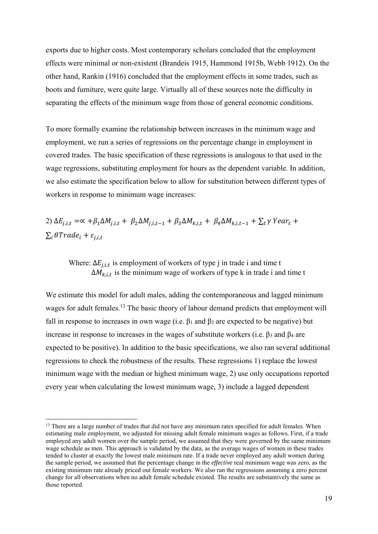exports due to higher costs. Most contemporary scholars concluded that the employment effects were minimal or non-existent (Brandeis 1915, Hammond 1915b, Webb 1912). On the other hand, Rankin (1916) concluded that the employment effects in some trades, such as boots and furniture, were quite large. Virtually all of these sources note the difficulty in separating the effects of the minimum wage from those of general economic conditions.

To more formally examine the relationship between increases in the minimum wage and employment, we run a series of regressions on the percentage change in employment in covered trades. The basic specification of these regressions is analogous to that used in the wage regressions, substituting employment for hours as the dependent variable. In addition, we also estimate the specification below to allow for substitution between different types of workers in response to minimum wage increases:

2)  $\Delta E_{i,i,t} = \alpha + \beta_1 \Delta M_{i,i,t} + \beta_2 \Delta M_{i,i,t-1} + \beta_3 \Delta M_{k,i,t} + \beta_4 \Delta M_{k,i,t-1} + \sum_t \gamma \gamma^2$  $\sum_i \theta Trade_i + \varepsilon_{j,i,t}$ 

Where:  $\Delta E_{j,i,t}$  is employment of workers of type j in trade i and time t  $\Delta M_{k,i,t}$  is the minimum wage of workers of type k in trade i and time t

We estimate this model for adult males, adding the contemporaneous and lagged minimum wages for adult females.<sup>13</sup> The basic theory of labour demand predicts that employment will fall in response to increases in own wage (i.e.  $\beta_1$  and  $\beta_2$  are expected to be negative) but increase in response to increases in the wages of substitute workers (i.e. β3 and β4 are expected to be positive). In addition to the basic specifications, we also ran several additional regressions to check the robustness of the results. These regressions 1) replace the lowest minimum wage with the median or highest minimum wage, 2) use only occupations reported every year when calculating the lowest minimum wage, 3) include a lagged dependent

<sup>&</sup>lt;sup>13</sup> There are a large number of trades that did not have any minimum rates specified for adult females. When estimating male employment, we adjusted for missing adult female minimum wages as follows. First, if a trade employed any adult women over the sample period, we assumed that they were governed by the same minimum wage schedule as men. This approach is validated by the data, as the average wages of women in these trades tended to cluster at exactly the lowest male minimum rate. If a trade never employed any adult women during the sample period, we assumed that the percentage change in the *effective* real minimum wage was zero, as the existing minimum rate already priced out female workers. We also ran the regressions assuming a zero percent change for all observations when no adult female schedule existed. The results are substantively the same as those reported.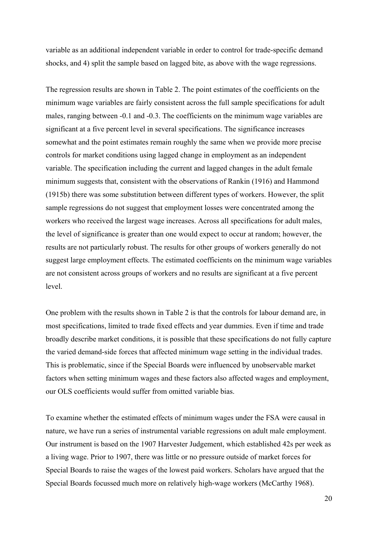variable as an additional independent variable in order to control for trade-specific demand shocks, and 4) split the sample based on lagged bite, as above with the wage regressions.

The regression results are shown in Table 2. The point estimates of the coefficients on the minimum wage variables are fairly consistent across the full sample specifications for adult males, ranging between -0.1 and -0.3. The coefficients on the minimum wage variables are significant at a five percent level in several specifications. The significance increases somewhat and the point estimates remain roughly the same when we provide more precise controls for market conditions using lagged change in employment as an independent variable. The specification including the current and lagged changes in the adult female minimum suggests that, consistent with the observations of Rankin (1916) and Hammond (1915b) there was some substitution between different types of workers. However, the split sample regressions do not suggest that employment losses were concentrated among the workers who received the largest wage increases. Across all specifications for adult males, the level of significance is greater than one would expect to occur at random; however, the results are not particularly robust. The results for other groups of workers generally do not suggest large employment effects. The estimated coefficients on the minimum wage variables are not consistent across groups of workers and no results are significant at a five percent level.

One problem with the results shown in Table 2 is that the controls for labour demand are, in most specifications, limited to trade fixed effects and year dummies. Even if time and trade broadly describe market conditions, it is possible that these specifications do not fully capture the varied demand-side forces that affected minimum wage setting in the individual trades. This is problematic, since if the Special Boards were influenced by unobservable market factors when setting minimum wages and these factors also affected wages and employment, our OLS coefficients would suffer from omitted variable bias.

To examine whether the estimated effects of minimum wages under the FSA were causal in nature, we have run a series of instrumental variable regressions on adult male employment. Our instrument is based on the 1907 Harvester Judgement, which established 42s per week as a living wage. Prior to 1907, there was little or no pressure outside of market forces for Special Boards to raise the wages of the lowest paid workers. Scholars have argued that the Special Boards focussed much more on relatively high-wage workers (McCarthy 1968).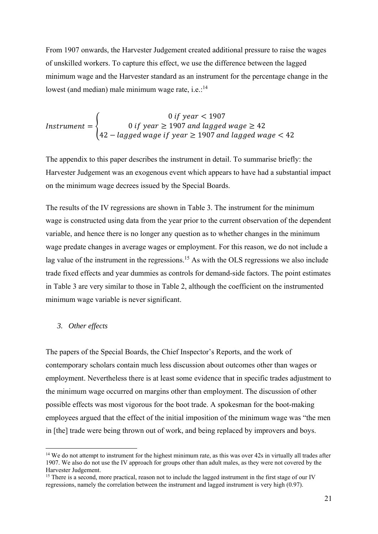From 1907 onwards, the Harvester Judgement created additional pressure to raise the wages of unskilled workers. To capture this effect, we use the difference between the lagged minimum wage and the Harvester standard as an instrument for the percentage change in the lowest (and median) male minimum wage rate, i.e.: $14$ 

$$
Instrument = \begin{cases} 0 \text{ if year} < 1907 \\ 0 \text{ if year} \ge 1907 \text{ and lagged wage} \ge 42 \\ 42 - lagged wage \text{ if year} \ge 1907 \text{ and lagged wage} \le 42 \end{cases}
$$

The appendix to this paper describes the instrument in detail. To summarise briefly: the Harvester Judgement was an exogenous event which appears to have had a substantial impact on the minimum wage decrees issued by the Special Boards.

The results of the IV regressions are shown in Table 3. The instrument for the minimum wage is constructed using data from the year prior to the current observation of the dependent variable, and hence there is no longer any question as to whether changes in the minimum wage predate changes in average wages or employment. For this reason, we do not include a lag value of the instrument in the regressions.<sup>15</sup> As with the OLS regressions we also include trade fixed effects and year dummies as controls for demand-side factors. The point estimates in Table 3 are very similar to those in Table 2, although the coefficient on the instrumented minimum wage variable is never significant.

#### *3. Other effects*

The papers of the Special Boards, the Chief Inspector's Reports, and the work of contemporary scholars contain much less discussion about outcomes other than wages or employment. Nevertheless there is at least some evidence that in specific trades adjustment to the minimum wage occurred on margins other than employment. The discussion of other possible effects was most vigorous for the boot trade. A spokesman for the boot-making employees argued that the effect of the initial imposition of the minimum wage was "the men in [the] trade were being thrown out of work, and being replaced by improvers and boys.

 $14$  We do not attempt to instrument for the highest minimum rate, as this was over 42s in virtually all trades after 1907. We also do not use the IV approach for groups other than adult males, as they were not covered by the Harvester Judgement.

<sup>&</sup>lt;sup>15</sup> There is a second, more practical, reason not to include the lagged instrument in the first stage of our IV regressions, namely the correlation between the instrument and lagged instrument is very high (0.97).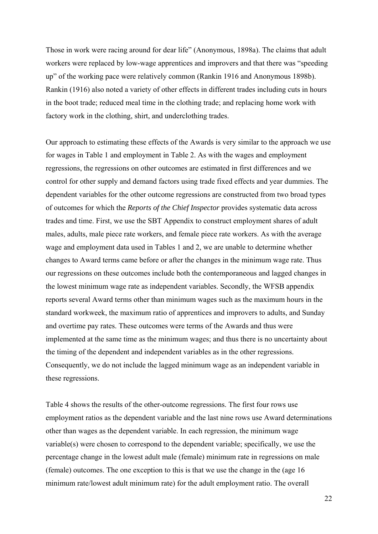Those in work were racing around for dear life" (Anonymous, 1898a). The claims that adult workers were replaced by low-wage apprentices and improvers and that there was "speeding up" of the working pace were relatively common (Rankin 1916 and Anonymous 1898b). Rankin (1916) also noted a variety of other effects in different trades including cuts in hours in the boot trade; reduced meal time in the clothing trade; and replacing home work with factory work in the clothing, shirt, and underclothing trades.

Our approach to estimating these effects of the Awards is very similar to the approach we use for wages in Table 1 and employment in Table 2. As with the wages and employment regressions, the regressions on other outcomes are estimated in first differences and we control for other supply and demand factors using trade fixed effects and year dummies. The dependent variables for the other outcome regressions are constructed from two broad types of outcomes for which the *Reports of the Chief Inspector* provides systematic data across trades and time. First, we use the SBT Appendix to construct employment shares of adult males, adults, male piece rate workers, and female piece rate workers. As with the average wage and employment data used in Tables 1 and 2, we are unable to determine whether changes to Award terms came before or after the changes in the minimum wage rate. Thus our regressions on these outcomes include both the contemporaneous and lagged changes in the lowest minimum wage rate as independent variables. Secondly, the WFSB appendix reports several Award terms other than minimum wages such as the maximum hours in the standard workweek, the maximum ratio of apprentices and improvers to adults, and Sunday and overtime pay rates. These outcomes were terms of the Awards and thus were implemented at the same time as the minimum wages; and thus there is no uncertainty about the timing of the dependent and independent variables as in the other regressions. Consequently, we do not include the lagged minimum wage as an independent variable in these regressions.

Table 4 shows the results of the other-outcome regressions. The first four rows use employment ratios as the dependent variable and the last nine rows use Award determinations other than wages as the dependent variable. In each regression, the minimum wage variable(s) were chosen to correspond to the dependent variable; specifically, we use the percentage change in the lowest adult male (female) minimum rate in regressions on male (female) outcomes. The one exception to this is that we use the change in the (age 16 minimum rate/lowest adult minimum rate) for the adult employment ratio. The overall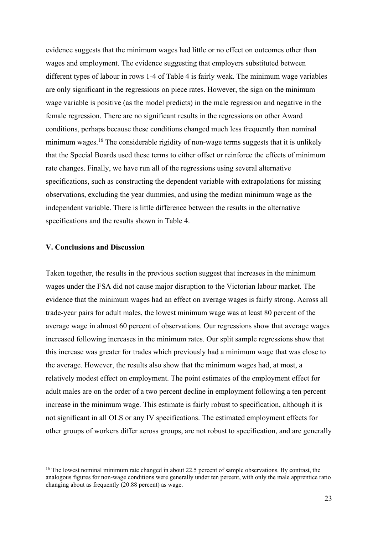evidence suggests that the minimum wages had little or no effect on outcomes other than wages and employment. The evidence suggesting that employers substituted between different types of labour in rows 1-4 of Table 4 is fairly weak. The minimum wage variables are only significant in the regressions on piece rates. However, the sign on the minimum wage variable is positive (as the model predicts) in the male regression and negative in the female regression. There are no significant results in the regressions on other Award conditions, perhaps because these conditions changed much less frequently than nominal minimum wages.<sup>16</sup> The considerable rigidity of non-wage terms suggests that it is unlikely that the Special Boards used these terms to either offset or reinforce the effects of minimum rate changes. Finally, we have run all of the regressions using several alternative specifications, such as constructing the dependent variable with extrapolations for missing observations, excluding the year dummies, and using the median minimum wage as the independent variable. There is little difference between the results in the alternative specifications and the results shown in Table 4.

#### **V. Conclusions and Discussion**

Taken together, the results in the previous section suggest that increases in the minimum wages under the FSA did not cause major disruption to the Victorian labour market. The evidence that the minimum wages had an effect on average wages is fairly strong. Across all trade-year pairs for adult males, the lowest minimum wage was at least 80 percent of the average wage in almost 60 percent of observations. Our regressions show that average wages increased following increases in the minimum rates. Our split sample regressions show that this increase was greater for trades which previously had a minimum wage that was close to the average. However, the results also show that the minimum wages had, at most, a relatively modest effect on employment. The point estimates of the employment effect for adult males are on the order of a two percent decline in employment following a ten percent increase in the minimum wage. This estimate is fairly robust to specification, although it is not significant in all OLS or any IV specifications. The estimated employment effects for other groups of workers differ across groups, are not robust to specification, and are generally

 $16$  The lowest nominal minimum rate changed in about 22.5 percent of sample observations. By contrast, the analogous figures for non-wage conditions were generally under ten percent, with only the male apprentice ratio changing about as frequently (20.88 percent) as wage.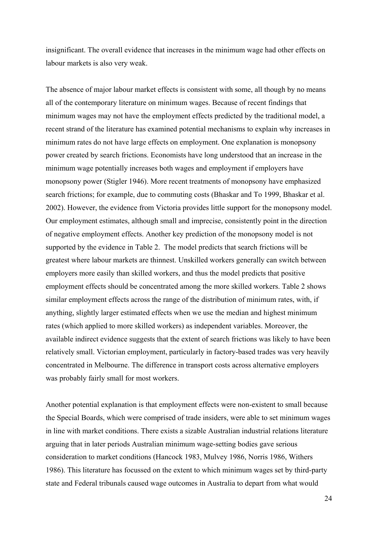insignificant. The overall evidence that increases in the minimum wage had other effects on labour markets is also very weak.

The absence of major labour market effects is consistent with some, all though by no means all of the contemporary literature on minimum wages. Because of recent findings that minimum wages may not have the employment effects predicted by the traditional model, a recent strand of the literature has examined potential mechanisms to explain why increases in minimum rates do not have large effects on employment. One explanation is monopsony power created by search frictions. Economists have long understood that an increase in the minimum wage potentially increases both wages and employment if employers have monopsony power (Stigler 1946). More recent treatments of monopsony have emphasized search frictions; for example, due to commuting costs (Bhaskar and To 1999, Bhaskar et al. 2002). However, the evidence from Victoria provides little support for the monopsony model. Our employment estimates, although small and imprecise, consistently point in the direction of negative employment effects. Another key prediction of the monopsony model is not supported by the evidence in Table 2. The model predicts that search frictions will be greatest where labour markets are thinnest. Unskilled workers generally can switch between employers more easily than skilled workers, and thus the model predicts that positive employment effects should be concentrated among the more skilled workers. Table 2 shows similar employment effects across the range of the distribution of minimum rates, with, if anything, slightly larger estimated effects when we use the median and highest minimum rates (which applied to more skilled workers) as independent variables. Moreover, the available indirect evidence suggests that the extent of search frictions was likely to have been relatively small. Victorian employment, particularly in factory-based trades was very heavily concentrated in Melbourne. The difference in transport costs across alternative employers was probably fairly small for most workers.

Another potential explanation is that employment effects were non-existent to small because the Special Boards, which were comprised of trade insiders, were able to set minimum wages in line with market conditions. There exists a sizable Australian industrial relations literature arguing that in later periods Australian minimum wage-setting bodies gave serious consideration to market conditions (Hancock 1983, Mulvey 1986, Norris 1986, Withers 1986). This literature has focussed on the extent to which minimum wages set by third-party state and Federal tribunals caused wage outcomes in Australia to depart from what would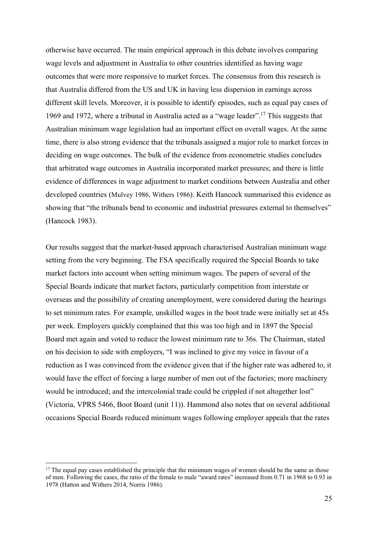otherwise have occurred. The main empirical approach in this debate involves comparing wage levels and adjustment in Australia to other countries identified as having wage outcomes that were more responsive to market forces. The consensus from this research is that Australia differed from the US and UK in having less dispersion in earnings across different skill levels. Moreover, it is possible to identify episodes, such as equal pay cases of 1969 and 1972, where a tribunal in Australia acted as a "wage leader".17 This suggests that Australian minimum wage legislation had an important effect on overall wages. At the same time, there is also strong evidence that the tribunals assigned a major role to market forces in deciding on wage outcomes. The bulk of the evidence from econometric studies concludes that arbitrated wage outcomes in Australia incorporated market pressures; and there is little evidence of differences in wage adjustment to market conditions between Australia and other developed countries (Mulvey 1986, Withers 1986). Keith Hancock summarised this evidence as showing that "the tribunals bend to economic and industrial pressures external to themselves" (Hancock 1983).

Our results suggest that the market-based approach characterised Australian minimum wage setting from the very beginning. The FSA specifically required the Special Boards to take market factors into account when setting minimum wages. The papers of several of the Special Boards indicate that market factors, particularly competition from interstate or overseas and the possibility of creating unemployment, were considered during the hearings to set minimum rates. For example, unskilled wages in the boot trade were initially set at 45s per week. Employers quickly complained that this was too high and in 1897 the Special Board met again and voted to reduce the lowest minimum rate to 36s. The Chairman, stated on his decision to side with employers, "I was inclined to give my voice in favour of a reduction as I was convinced from the evidence given that if the higher rate was adhered to, it would have the effect of forcing a large number of men out of the factories; more machinery would be introduced; and the intercolonial trade could be crippled if not altogether lost" (Victoria, VPRS 5466, Boot Board (unit 11)). Hammond also notes that on several additional occasions Special Boards reduced minimum wages following employer appeals that the rates

 $17$  The equal pay cases established the principle that the minimum wages of women should be the same as those of men. Following the cases, the ratio of the female to male "award rates" increased from 0.71 in 1968 to 0.93 in 1978 (Hatton and Withers 2014, Norris 1986).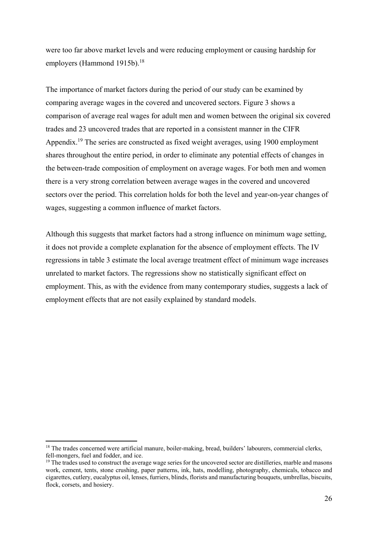were too far above market levels and were reducing employment or causing hardship for employers (Hammond 1915b).<sup>18</sup>

The importance of market factors during the period of our study can be examined by comparing average wages in the covered and uncovered sectors. Figure 3 shows a comparison of average real wages for adult men and women between the original six covered trades and 23 uncovered trades that are reported in a consistent manner in the CIFR Appendix.<sup>19</sup> The series are constructed as fixed weight averages, using 1900 employment shares throughout the entire period, in order to eliminate any potential effects of changes in the between-trade composition of employment on average wages. For both men and women there is a very strong correlation between average wages in the covered and uncovered sectors over the period. This correlation holds for both the level and year-on-year changes of wages, suggesting a common influence of market factors.

Although this suggests that market factors had a strong influence on minimum wage setting, it does not provide a complete explanation for the absence of employment effects. The IV regressions in table 3 estimate the local average treatment effect of minimum wage increases unrelated to market factors. The regressions show no statistically significant effect on employment. This, as with the evidence from many contemporary studies, suggests a lack of employment effects that are not easily explained by standard models.

<sup>&</sup>lt;sup>18</sup> The trades concerned were artificial manure, boiler-making, bread, builders' labourers, commercial clerks, fell-mongers, fuel and fodder, and ice.

<sup>&</sup>lt;sup>19</sup> The trades used to construct the average wage series for the uncovered sector are distilleries, marble and masons work, cement, tents, stone crushing, paper patterns, ink, hats, modelling, photography, chemicals, tobacco and cigarettes, cutlery, eucalyptus oil, lenses, furriers, blinds, florists and manufacturing bouquets, umbrellas, biscuits, flock, corsets, and hosiery.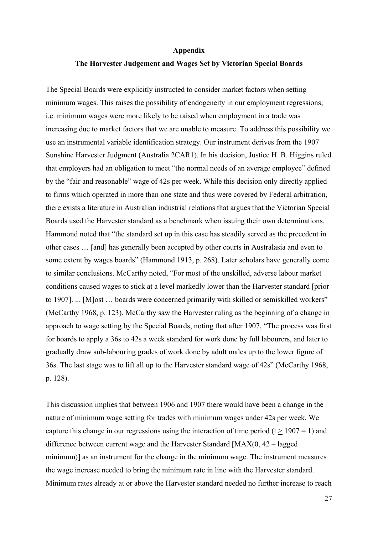#### **Appendix**

#### **The Harvester Judgement and Wages Set by Victorian Special Boards**

The Special Boards were explicitly instructed to consider market factors when setting minimum wages. This raises the possibility of endogeneity in our employment regressions; i.e. minimum wages were more likely to be raised when employment in a trade was increasing due to market factors that we are unable to measure. To address this possibility we use an instrumental variable identification strategy. Our instrument derives from the 1907 Sunshine Harvester Judgment (Australia 2CAR1). In his decision, Justice H. B. Higgins ruled that employers had an obligation to meet "the normal needs of an average employee" defined by the "fair and reasonable" wage of 42s per week. While this decision only directly applied to firms which operated in more than one state and thus were covered by Federal arbitration, there exists a literature in Australian industrial relations that argues that the Victorian Special Boards used the Harvester standard as a benchmark when issuing their own determinations. Hammond noted that "the standard set up in this case has steadily served as the precedent in other cases … [and] has generally been accepted by other courts in Australasia and even to some extent by wages boards" (Hammond 1913, p. 268). Later scholars have generally come to similar conclusions. McCarthy noted, "For most of the unskilled, adverse labour market conditions caused wages to stick at a level markedly lower than the Harvester standard [prior to 1907]. ... [M]ost … boards were concerned primarily with skilled or semiskilled workers" (McCarthy 1968, p. 123). McCarthy saw the Harvester ruling as the beginning of a change in approach to wage setting by the Special Boards, noting that after 1907, "The process was first for boards to apply a 36s to 42s a week standard for work done by full labourers, and later to gradually draw sub-labouring grades of work done by adult males up to the lower figure of 36s. The last stage was to lift all up to the Harvester standard wage of 42s" (McCarthy 1968, p. 128).

This discussion implies that between 1906 and 1907 there would have been a change in the nature of minimum wage setting for trades with minimum wages under 42s per week. We capture this change in our regressions using the interaction of time period (t  $> 1907 = 1$ ) and difference between current wage and the Harvester Standard [MAX(0, 42 – lagged minimum)] as an instrument for the change in the minimum wage. The instrument measures the wage increase needed to bring the minimum rate in line with the Harvester standard. Minimum rates already at or above the Harvester standard needed no further increase to reach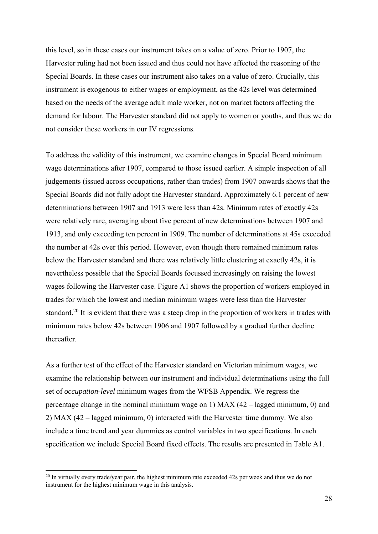this level, so in these cases our instrument takes on a value of zero. Prior to 1907, the Harvester ruling had not been issued and thus could not have affected the reasoning of the Special Boards. In these cases our instrument also takes on a value of zero. Crucially, this instrument is exogenous to either wages or employment, as the 42s level was determined based on the needs of the average adult male worker, not on market factors affecting the demand for labour. The Harvester standard did not apply to women or youths, and thus we do not consider these workers in our IV regressions.

To address the validity of this instrument, we examine changes in Special Board minimum wage determinations after 1907, compared to those issued earlier. A simple inspection of all judgements (issued across occupations, rather than trades) from 1907 onwards shows that the Special Boards did not fully adopt the Harvester standard. Approximately 6.1 percent of new determinations between 1907 and 1913 were less than 42s. Minimum rates of exactly 42s were relatively rare, averaging about five percent of new determinations between 1907 and 1913, and only exceeding ten percent in 1909. The number of determinations at 45s exceeded the number at 42s over this period. However, even though there remained minimum rates below the Harvester standard and there was relatively little clustering at exactly 42s, it is nevertheless possible that the Special Boards focussed increasingly on raising the lowest wages following the Harvester case. Figure A1 shows the proportion of workers employed in trades for which the lowest and median minimum wages were less than the Harvester standard.<sup>20</sup> It is evident that there was a steep drop in the proportion of workers in trades with minimum rates below 42s between 1906 and 1907 followed by a gradual further decline thereafter.

As a further test of the effect of the Harvester standard on Victorian minimum wages, we examine the relationship between our instrument and individual determinations using the full set of *occupation-level* minimum wages from the WFSB Appendix. We regress the percentage change in the nominal minimum wage on 1) MAX (42 – lagged minimum, 0) and 2) MAX (42 – lagged minimum, 0) interacted with the Harvester time dummy. We also include a time trend and year dummies as control variables in two specifications. In each specification we include Special Board fixed effects. The results are presented in Table A1.

 $^{20}$  In virtually every trade/year pair, the highest minimum rate exceeded 42s per week and thus we do not instrument for the highest minimum wage in this analysis.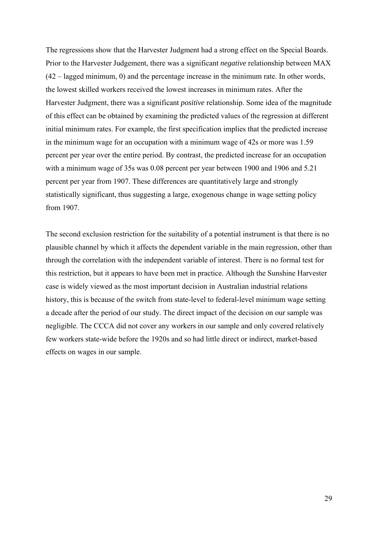The regressions show that the Harvester Judgment had a strong effect on the Special Boards. Prior to the Harvester Judgement, there was a significant *negative* relationship between MAX (42 – lagged minimum, 0) and the percentage increase in the minimum rate. In other words, the lowest skilled workers received the lowest increases in minimum rates. After the Harvester Judgment, there was a significant *positive* relationship. Some idea of the magnitude of this effect can be obtained by examining the predicted values of the regression at different initial minimum rates. For example, the first specification implies that the predicted increase in the minimum wage for an occupation with a minimum wage of 42s or more was 1.59 percent per year over the entire period. By contrast, the predicted increase for an occupation with a minimum wage of 35s was 0.08 percent per year between 1900 and 1906 and 5.21 percent per year from 1907. These differences are quantitatively large and strongly statistically significant, thus suggesting a large, exogenous change in wage setting policy from 1907.

The second exclusion restriction for the suitability of a potential instrument is that there is no plausible channel by which it affects the dependent variable in the main regression, other than through the correlation with the independent variable of interest. There is no formal test for this restriction, but it appears to have been met in practice. Although the Sunshine Harvester case is widely viewed as the most important decision in Australian industrial relations history, this is because of the switch from state-level to federal-level minimum wage setting a decade after the period of our study. The direct impact of the decision on our sample was negligible. The CCCA did not cover any workers in our sample and only covered relatively few workers state-wide before the 1920s and so had little direct or indirect, market-based effects on wages in our sample.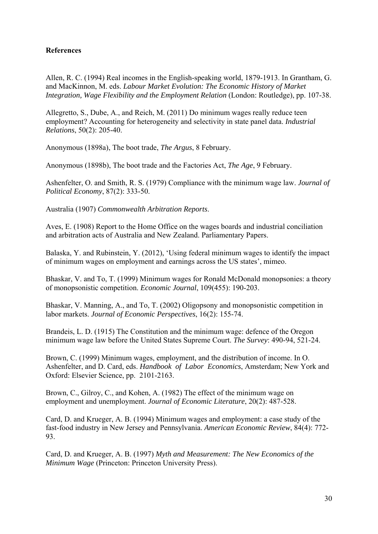## **References**

Allen, R. C. (1994) Real incomes in the English-speaking world, 1879-1913. In Grantham, G. and MacKinnon, M. eds. *Labour Market Evolution: The Economic History of Market Integration, Wage Flexibility and the Employment Relation* (London: Routledge), pp. 107-38.

Allegretto, S., Dube, A., and Reich, M. (2011) Do minimum wages really reduce teen employment? Accounting for heterogeneity and selectivity in state panel data. *Industrial Relations*, 50(2): 205-40.

Anonymous (1898a), The boot trade, *The Argus*, 8 February.

Anonymous (1898b), The boot trade and the Factories Act, *The Age*, 9 February.

Ashenfelter, O. and Smith, R. S. (1979) Compliance with the minimum wage law. *Journal of Political Economy*, 87(2): 333-50.

Australia (1907) *Commonwealth Arbitration Reports*.

Aves, E. (1908) Report to the Home Office on the wages boards and industrial conciliation and arbitration acts of Australia and New Zealand. Parliamentary Papers.

Balaska, Y. and Rubinstein, Y. (2012), 'Using federal minimum wages to identify the impact of minimum wages on employment and earnings across the US states', mimeo.

Bhaskar, V. and To, T. (1999) Minimum wages for Ronald McDonald monopsonies: a theory of monopsonistic competition. *Economic Journal*, 109(455): 190-203.

Bhaskar, V. Manning, A., and To, T. (2002) Oligopsony and monopsonistic competition in labor markets. *Journal of Economic Perspectives*, 16(2): 155-74.

Brandeis, L. D. (1915) The Constitution and the minimum wage: defence of the Oregon minimum wage law before the United States Supreme Court. *The Survey*: 490-94, 521-24.

Brown, C. (1999) Minimum wages, employment, and the distribution of income. In O. Ashenfelter, and D. Card, eds. *Handbook of Labor Economics*, Amsterdam; New York and Oxford: Elsevier Science, pp. 2101-2163.

Brown, C., Gilroy, C., and Kohen, A. (1982) The effect of the minimum wage on employment and unemployment. *Journal of Economic Literature*, 20(2): 487-528.

Card, D. and Krueger, A. B. (1994) Minimum wages and employment: a case study of the fast-food industry in New Jersey and Pennsylvania. *American Economic Review*, 84(4): 772- 93.

Card, D. and Krueger, A. B. (1997) *Myth and Measurement: The New Economics of the Minimum Wage* (Princeton: Princeton University Press).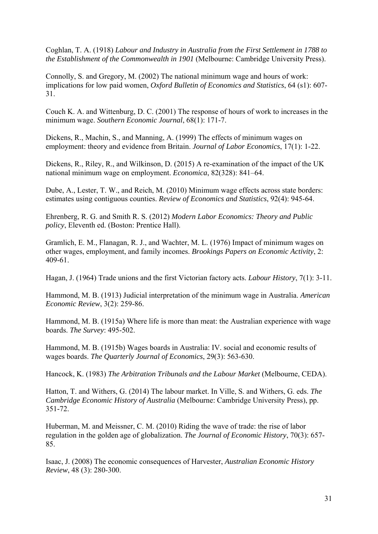Coghlan, T. A. (1918) *Labour and Industry in Australia from the First Settlement in 1788 to the Establishment of the Commonwealth in 1901* (Melbourne: Cambridge University Press).

Connolly, S. and Gregory, M. (2002) The national minimum wage and hours of work: implications for low paid women, *Oxford Bulletin of Economics and Statistics*, 64 (s1): 607- 31.

Couch K. A. and Wittenburg, D. C. (2001) The response of hours of work to increases in the minimum wage. *Southern Economic Journal*, 68(1): 171-7.

Dickens, R., Machin, S., and Manning, A. (1999) The effects of minimum wages on employment: theory and evidence from Britain. *Journal of Labor Economics*, 17(1): 1-22.

Dickens, R., Riley, R., and Wilkinson, D. (2015) A re-examination of the impact of the UK national minimum wage on employment. *Economica*, 82(328): 841–64.

Dube, A., Lester, T. W., and Reich, M. (2010) Minimum wage effects across state borders: estimates using contiguous counties. *Review of Economics and Statistics*, 92(4): 945-64.

Ehrenberg, R. G. and Smith R. S. (2012) *Modern Labor Economics: Theory and Public policy*, Eleventh ed. (Boston: Prentice Hall).

Gramlich, E. M., Flanagan, R. J., and Wachter, M. L. (1976) Impact of minimum wages on other wages, employment, and family incomes. *Brookings Papers on Economic Activity*, 2: 409-61.

Hagan, J. (1964) Trade unions and the first Victorian factory acts. *Labour History*, 7(1): 3-11.

Hammond, M. B. (1913) Judicial interpretation of the minimum wage in Australia. *American Economic Review*, 3(2): 259-86.

Hammond, M. B. (1915a) Where life is more than meat: the Australian experience with wage boards. *The Survey*: 495-502.

Hammond, M. B. (1915b) Wages boards in Australia: IV. social and economic results of wages boards. *The Quarterly Journal of Economics*, 29(3): 563-630.

Hancock, K. (1983) *The Arbitration Tribunals and the Labour Market* (Melbourne, CEDA).

Hatton, T. and Withers, G. (2014) The labour market. In Ville, S. and Withers, G. eds. *The Cambridge Economic History of Australia* (Melbourne: Cambridge University Press), pp. 351-72.

Huberman, M. and Meissner, C. M. (2010) Riding the wave of trade: the rise of labor regulation in the golden age of globalization. *The Journal of Economic History*, 70(3): 657- 85.

Isaac, J. (2008) The economic consequences of Harvester, *Australian Economic History Review*, 48 (3): 280-300.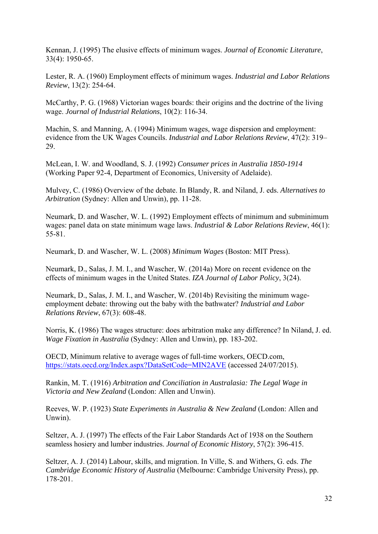Kennan, J. (1995) The elusive effects of minimum wages. *Journal of Economic Literature*, 33(4): 1950-65.

Lester, R. A. (1960) Employment effects of minimum wages. *Industrial and Labor Relations Review*, 13(2): 254-64.

McCarthy, P. G. (1968) Victorian wages boards: their origins and the doctrine of the living wage. *Journal of Industrial Relations*, 10(2): 116-34.

Machin, S. and Manning, A. (1994) Minimum wages, wage dispersion and employment: evidence from the UK Wages Councils. *Industrial and Labor Relations Review*, 47(2): 319– 29.

McLean, I. W. and Woodland, S. J. (1992) *Consumer prices in Australia 1850-1914* (Working Paper 92-4, Department of Economics, University of Adelaide).

Mulvey, C. (1986) Overview of the debate. In Blandy, R. and Niland, J. eds. *Alternatives to Arbitration* (Sydney: Allen and Unwin), pp. 11-28.

Neumark, D. and Wascher, W. L. (1992) Employment effects of minimum and subminimum wages: panel data on state minimum wage laws. *Industrial & Labor Relations Review*, 46(1): 55-81.

Neumark, D. and Wascher, W. L. (2008) *Minimum Wages* (Boston: MIT Press).

Neumark, D., Salas, J. M. I., and Wascher, W. (2014a) More on recent evidence on the effects of minimum wages in the United States. *IZA Journal of Labor Policy*, 3(24).

Neumark, D., Salas, J. M. I., and Wascher, W. (2014b) Revisiting the minimum wageemployment debate: throwing out the baby with the bathwater? *Industrial and Labor Relations Review*, 67(3): 608-48.

Norris, K. (1986) The wages structure: does arbitration make any difference? In Niland, J. ed. *Wage Fixation in Australia* (Sydney: Allen and Unwin), pp. 183-202.

OECD, Minimum relative to average wages of full-time workers, OECD.com, https://stats.oecd.org/Index.aspx?DataSetCode=MIN2AVE (accessed 24/07/2015).

Rankin, M. T. (1916) *Arbitration and Conciliation in Australasia: The Legal Wage in Victoria and New Zealand* (London: Allen and Unwin).

Reeves, W. P. (1923) *State Experiments in Australia & New Zealand* (London: Allen and Unwin).

Seltzer, A. J. (1997) The effects of the Fair Labor Standards Act of 1938 on the Southern seamless hosiery and lumber industries. *Journal of Economic History*, 57(2): 396-415.

Seltzer, A. J. (2014) Labour, skills, and migration. In Ville, S. and Withers, G. eds. *The Cambridge Economic History of Australia* (Melbourne: Cambridge University Press), pp. 178-201.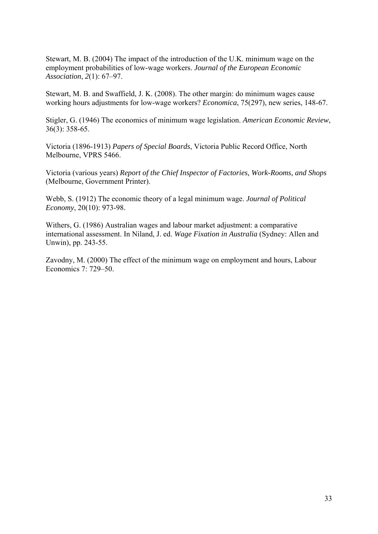Stewart, M. B. (2004) The impact of the introduction of the U.K. minimum wage on the employment probabilities of low-wage workers. *Journal of the European Economic Association*, *2*(1): 67–97.

Stewart, M. B. and Swaffield, J. K. (2008). The other margin: do minimum wages cause working hours adjustments for low-wage workers? *Economica*, 75(297), new series, 148-67.

Stigler, G. (1946) The economics of minimum wage legislation. *American Economic Review*, 36(3): 358-65.

Victoria (1896-1913) *Papers of Special Boards*, Victoria Public Record Office, North Melbourne, VPRS 5466.

Victoria (various years) *Report of the Chief Inspector of Factories, Work-Rooms, and Shops* (Melbourne, Government Printer).

Webb, S. (1912) The economic theory of a legal minimum wage. *Journal of Political Economy*, 20(10): 973-98.

Withers, G. (1986) Australian wages and labour market adjustment: a comparative international assessment. In Niland, J. ed. *Wage Fixation in Australia* (Sydney: Allen and Unwin), pp. 243-55.

Zavodny, M. (2000) The effect of the minimum wage on employment and hours, Labour Economics 7: 729–50.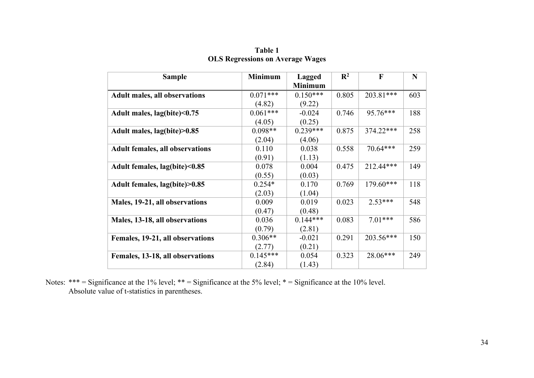| <b>Sample</b>                          | <b>Minimum</b> | <b>Lagged</b><br><b>Minimum</b> | $\mathbb{R}^2$ | $\mathbf F$ | N   |
|----------------------------------------|----------------|---------------------------------|----------------|-------------|-----|
| Adult males, all observations          | $0.071***$     | $0.150***$                      | 0.805          | 203.81***   | 603 |
|                                        | (4.82)         | (9.22)                          |                |             |     |
| Adult males, lag(bite)<0.75            | $0.061***$     | $-0.024$                        | 0.746          | 95.76***    | 188 |
|                                        | (4.05)         | (0.25)                          |                |             |     |
| Adult males, lag(bite)>0.85            | $0.098**$      | $0.239***$                      | 0.875          | 374.22***   | 258 |
|                                        | (2.04)         | (4.06)                          |                |             |     |
| <b>Adult females, all observations</b> | 0.110          | 0.038                           | 0.558          | $70.64***$  | 259 |
|                                        | (0.91)         | (1.13)                          |                |             |     |
| Adult females, lag(bite)<0.85          | 0.078          | 0.004                           | 0.475          | 212.44***   | 149 |
|                                        | (0.55)         | (0.03)                          |                |             |     |
| Adult females, lag(bite)>0.85          | $0.254*$       | 0.170                           | 0.769          | $179.60***$ | 118 |
|                                        | (2.03)         | (1.04)                          |                |             |     |
| Males, 19-21, all observations         | 0.009          | 0.019                           | 0.023          | $2.53***$   | 548 |
|                                        | (0.47)         | (0.48)                          |                |             |     |
| Males, 13-18, all observations         | 0.036          | $0.144***$                      | 0.083          | $7.01***$   | 586 |
|                                        | (0.79)         | (2.81)                          |                |             |     |
| Females, 19-21, all observations       | $0.306**$      | $-0.021$                        | 0.291          | 203.56***   | 150 |
|                                        | (2.77)         | (0.21)                          |                |             |     |
| Females, 13-18, all observations       | $0.145***$     | 0.054                           | 0.323          | 28.06***    | 249 |
|                                        | (2.84)         | (1.43)                          |                |             |     |

**Table 1 OLS Regressions on Average Wages** 

Notes: \*\*\* = Significance at the 1% level; \*\* = Significance at the 5% level; \* = Significance at the 10% level. Absolute value of t-statistics in parentheses.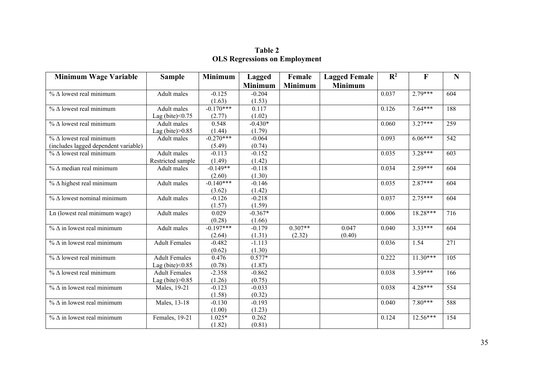| Table 2 |  |  |                                      |  |  |  |
|---------|--|--|--------------------------------------|--|--|--|
|         |  |  | <b>OLS Regressions on Employment</b> |  |  |  |

| <b>Minimum Wage Variable</b>         | <b>Sample</b>        | <b>Minimum</b> | <b>Lagged</b>  | Female         | <b>Lagged Female</b> | $\mathbb{R}^2$ | $\mathbf{F}$ | $\mathbf N$      |
|--------------------------------------|----------------------|----------------|----------------|----------------|----------------------|----------------|--------------|------------------|
|                                      |                      |                | <b>Minimum</b> | <b>Minimum</b> | <b>Minimum</b>       |                |              |                  |
| $% \triangle$ lowest real minimum    | Adult males          | $-0.125$       | $-0.204$       |                |                      | 0.037          | $2.79***$    | 604              |
|                                      |                      | (1.63)         | (1.53)         |                |                      |                |              |                  |
| $% \triangle$ lowest real minimum    | Adult males          | $-0.170***$    | 0.117          |                |                      | 0.126          | $7.64***$    | 188              |
|                                      | Lag (bite) $< 0.75$  | (2.77)         | (1.02)         |                |                      |                |              |                  |
| $\%$ $\Delta$ lowest real minimum    | Adult males          | 0.548          | $-0.430*$      |                |                      | 0.060          | $3.27***$    | 259              |
|                                      | Lag (bite) $>0.85$   | (1.44)         | (1.79)         |                |                      |                |              |                  |
| $\%$ $\Delta$ lowest real minimum    | Adult males          | $-0.270***$    | $-0.064$       |                |                      | 0.093          | $6.06***$    | 542              |
| (includes lagged dependent variable) |                      | (5.49)         | (0.74)         |                |                      |                |              |                  |
| $\%$ $\Delta$ lowest real minimum    | <b>Adult</b> males   | $-0.113$       | $-0.152$       |                |                      | 0.035          | $3.28***$    | $\overline{603}$ |
|                                      | Restricted sample    | (1.49)         | (1.42)         |                |                      |                |              |                  |
| $\%$ $\Delta$ median real minimum    | Adult males          | $-0.149**$     | $-0.118$       |                |                      | 0.034          | $2.59***$    | 604              |
|                                      |                      | (2.60)         | (1.30)         |                |                      |                |              |                  |
| $%$ $\Delta$ highest real minimum    | Adult males          | $-0.140***$    | $-0.146$       |                |                      | 0.035          | $2.87***$    | 604              |
|                                      |                      | (3.62)         | (1.42)         |                |                      |                |              |                  |
| $\%$ $\Delta$ lowest nominal minimum | Adult males          | $-0.126$       | $-0.218$       |                |                      | 0.037          | $2.75***$    | 604              |
|                                      |                      | (1.57)         | (1.59)         |                |                      |                |              |                  |
| Ln (lowest real minimum wage)        | Adult males          | 0.029          | $-0.367*$      |                |                      | 0.006          | $18.28***$   | 716              |
|                                      |                      | (0.28)         | (1.66)         |                |                      |                |              |                  |
| $\%$ $\Delta$ in lowest real minimum | Adult males          | $-0.197***$    | $-0.179$       | $0.307**$      | 0.047                | 0.040          | $3.33***$    | 604              |
|                                      |                      | (2.64)         | (1.31)         | (2.32)         | (0.40)               |                |              |                  |
| $\%$ $\Delta$ in lowest real minimum | <b>Adult Females</b> | $-0.482$       | $-1.113$       |                |                      | 0.036          | 1.54         | 271              |
|                                      |                      | (0.62)         | (1.30)         |                |                      |                |              |                  |
| $\%$ $\Delta$ lowest real minimum    | <b>Adult Females</b> | 0.476          | $0.577*$       |                |                      | 0.222          | $11.30***$   | $\overline{105}$ |
|                                      | Lag (bite) $<$ 0.85  | (0.78)         | (1.87)         |                |                      |                |              |                  |
| $\%$ $\Delta$ lowest real minimum    | <b>Adult Females</b> | $-2.358$       | $-0.862$       |                |                      | 0.038          | $3.59***$    | 166              |
|                                      | Lag (bite) $>0.85$   | (1.26)         | (0.75)         |                |                      |                |              |                  |
| $\%$ $\Delta$ in lowest real minimum | Males, 19-21         | $-0.123$       | $-0.033$       |                |                      | 0.038          | $4.28***$    | 554              |
|                                      |                      | (1.58)         | (0.32)         |                |                      |                |              |                  |
| $\%$ $\Delta$ in lowest real minimum | Males, 13-18         | $-0.130$       | $-0.193$       |                |                      | 0.040          | $7.80***$    | 588              |
|                                      |                      | (1.00)         | (1.23)         |                |                      |                |              |                  |
| $\%$ $\Delta$ in lowest real minimum | Females, 19-21       | $1.025*$       | 0.262          |                |                      | 0.124          | $12.56***$   | 154              |
|                                      |                      | (1.82)         | (0.81)         |                |                      |                |              |                  |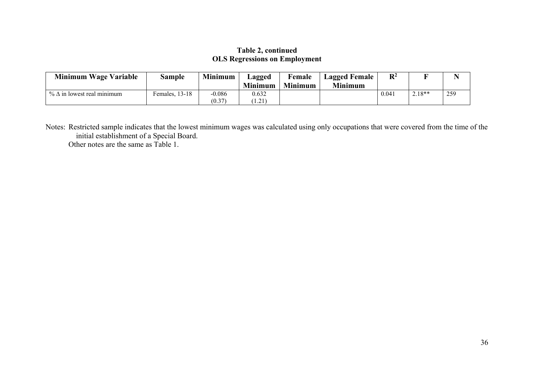### **Table 2, continued OLS Regressions on Employment**

| Minimum Wage Variable                | Sample         | <b>Minimum</b>     | Lagged<br><b>Minimum</b> | Female<br><b>Minimum</b> | <b>Lagged Female</b><br><b>Minimum</b> | $\mathbf{D}^2$ |          |     |
|--------------------------------------|----------------|--------------------|--------------------------|--------------------------|----------------------------------------|----------------|----------|-----|
| $\%$ $\Delta$ in lowest real minimum | Females, 13-18 | $-0.086$<br>(0.37) | 0.632<br>1.21            |                          |                                        | 0.041          | $2.18**$ | 259 |

Notes: Restricted sample indicates that the lowest minimum wages was calculated using only occupations that were covered from the time of the initial establishment of a Special Board. Other notes are the same as Table 1.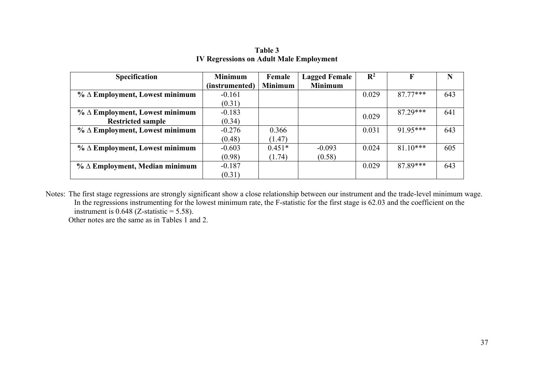| <b>Specification</b>                     | <b>Minimum</b> | Female         | <b>Lagged Female</b> | $\mathbb{R}^2$ | F         | N   |
|------------------------------------------|----------------|----------------|----------------------|----------------|-----------|-----|
|                                          | (instrumented) | <b>Minimum</b> | <b>Minimum</b>       |                |           |     |
| $\%$ $\Delta$ Employment, Lowest minimum | $-0.161$       |                |                      | 0.029          | 87 77***  | 643 |
|                                          | (0.31)         |                |                      |                |           |     |
| $% \Delta$ Employment, Lowest minimum    | $-0.183$       |                |                      | 0.029          | 87 29***  | 641 |
| <b>Restricted sample</b>                 | (0.34)         |                |                      |                |           |     |
| $\%$ $\Delta$ Employment, Lowest minimum | $-0.276$       | 0.366          |                      | 0.031          | 91.95***  | 643 |
|                                          | (0.48)         | (1.47)         |                      |                |           |     |
| $\%$ $\Delta$ Employment, Lowest minimum | $-0.603$       | $0.451*$       | $-0.093$             | 0.024          | $8110***$ | 605 |
|                                          | (0.98)         | (1.74)         | (0.58)               |                |           |     |
| $\%$ $\Delta$ Employment, Median minimum | $-0.187$       |                |                      | 0.029          | 87.89***  | 643 |
|                                          | (0.31)         |                |                      |                |           |     |

**Table 3 IV Regressions on Adult Male Employment** 

Notes: The first stage regressions are strongly significant show a close relationship between our instrument and the trade-level minimum wage. In the regressions instrumenting for the lowest minimum rate, the F-statistic for the first stage is 62.03 and the coefficient on the instrument is  $0.648$  (Z-statistic = 5.58).

Other notes are the same as in Tables 1 and 2.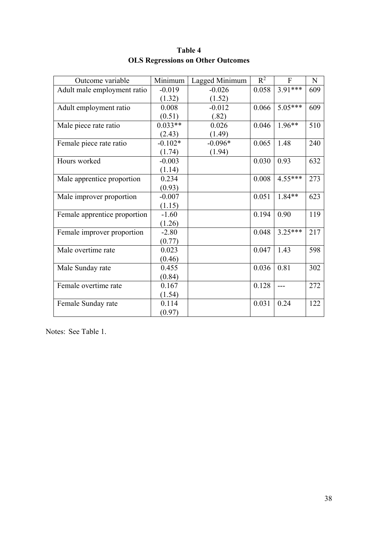| Outcome variable             | Minimum   | Lagged Minimum | $R^2$ | $\overline{F}$ | $\mathbf N$ |
|------------------------------|-----------|----------------|-------|----------------|-------------|
| Adult male employment ratio  | $-0.019$  | $-0.026$       | 0.058 | $3.91***$      | 609         |
|                              | (1.32)    | (1.52)         |       |                |             |
| Adult employment ratio       | 0.008     | $-0.012$       | 0.066 | $5.05***$      | 609         |
|                              | (0.51)    | (.82)          |       |                |             |
| Male piece rate ratio        | $0.033**$ | 0.026          | 0.046 | $1.96**$       | 510         |
|                              | (2.43)    | (1.49)         |       |                |             |
| Female piece rate ratio      | $-0.102*$ | $-0.096*$      | 0.065 | 1.48           | 240         |
|                              | (1.74)    | (1.94)         |       |                |             |
| Hours worked                 | $-0.003$  |                | 0.030 | 0.93           | 632         |
|                              | (1.14)    |                |       |                |             |
| Male apprentice proportion   | 0.234     |                | 0.008 | $4.55***$      | 273         |
|                              | (0.93)    |                |       |                |             |
| Male improver proportion     | $-0.007$  |                | 0.051 | $1.84**$       | 623         |
|                              | (1.15)    |                |       |                |             |
| Female apprentice proportion | $-1.60$   |                | 0.194 | 0.90           | 119         |
|                              | (1.26)    |                |       |                |             |
| Female improver proportion   | $-2.80$   |                | 0.048 | $3.25***$      | 217         |
|                              | (0.77)    |                |       |                |             |
| Male overtime rate           | 0.023     |                | 0.047 | 1.43           | 598         |
|                              | (0.46)    |                |       |                |             |
| Male Sunday rate             | 0.455     |                | 0.036 | 0.81           | 302         |
|                              | (0.84)    |                |       |                |             |
| Female overtime rate         | 0.167     |                | 0.128 |                | 272         |
|                              | (1.54)    |                |       |                |             |
| Female Sunday rate           | 0.114     |                | 0.031 | 0.24           | 122         |
|                              | (0.97)    |                |       |                |             |

# **Table 4 OLS Regressions on Other Outcomes**

Notes: See Table 1.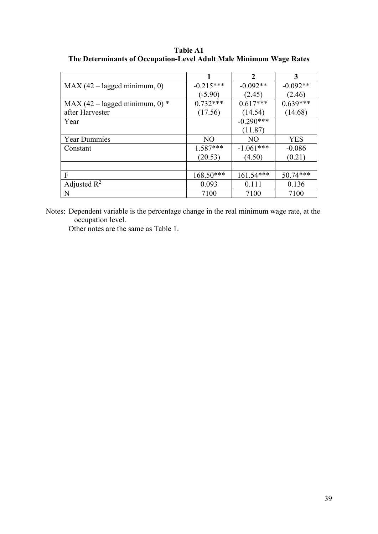**Table A1 The Determinants of Occupation-Level Adult Male Minimum Wage Rates** 

|                                  |                | $\overline{2}$ | 3          |
|----------------------------------|----------------|----------------|------------|
| $MAX (42 - lagged minimum, 0)$   | $-0.215***$    | $-0.092**$     | $-0.092**$ |
|                                  | (-5.90)        | (2.45)         | (2.46)     |
| MAX (42 – lagged minimum, 0) $*$ | $0.732***$     | $0.617***$     | $0.639***$ |
| after Harvester                  | (17.56)        | (14.54)        | (14.68)    |
| Year                             |                | $-0.290***$    |            |
|                                  |                | (11.87)        |            |
| <b>Year Dummies</b>              | N <sub>O</sub> | N <sub>O</sub> | <b>YES</b> |
| Constant                         | $1.587***$     | $-1.061***$    | $-0.086$   |
|                                  | (20.53)        | (4.50)         | (0.21)     |
|                                  |                |                |            |
| F                                | 168.50***      | $161.54***$    | $50.74***$ |
| Adjusted $R^2$                   | 0.093          | 0.111          | 0.136      |
| N                                | 7100           | 7100           | 7100       |

Notes: Dependent variable is the percentage change in the real minimum wage rate, at the occupation level.

Other notes are the same as Table 1.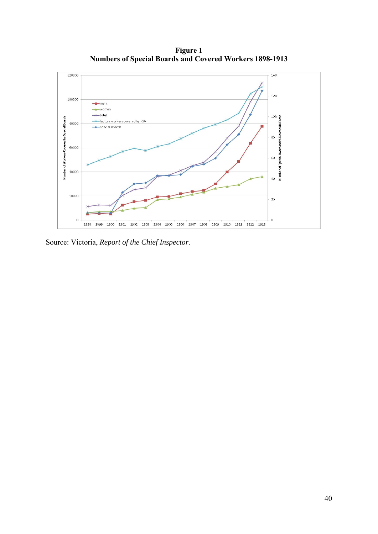**Figure 1 Numbers of Special Boards and Covered Workers 1898-1913** 



Source: Victoria, *Report of the Chief Inspector*.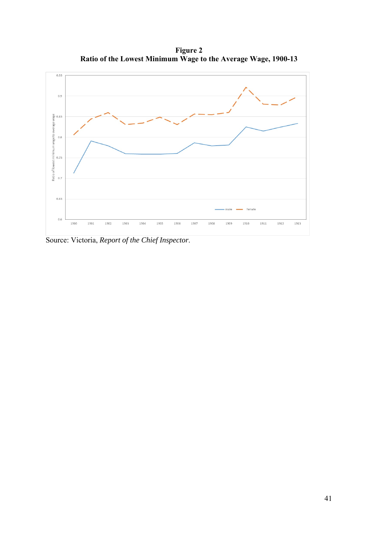**Figure 2 Ratio of the Lowest Minimum Wage to the Average Wage, 1900-13** 



Source: Victoria, *Report of the Chief Inspector*.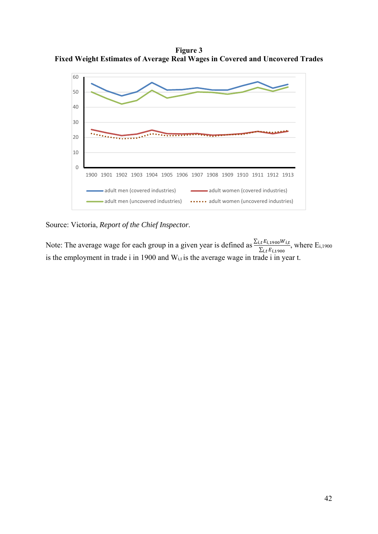**Figure 3 Fixed Weight Estimates of Average Real Wages in Covered and Uncovered Trades** 



Source: Victoria, *Report of the Chief Inspector*.

Note: The average wage for each group in a given year is defined as  $\frac{\sum_{i,t} E_{i,1900} W_{i,t}}{\sum_{i,t} E_{i,1900}}$ , where  $E_{i,1900}$ is the employment in trade i in 1900 and  $W_{i,t}$  is the average wage in trade i in year t.